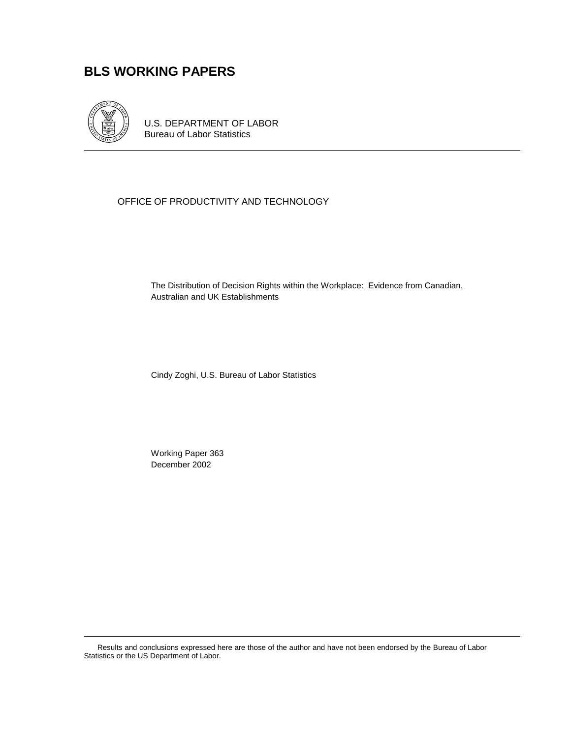# **BLS WORKING PAPERS**



U.S. DEPARTMENT OF LABOR Bureau of Labor Statistics

#### OFFICE OF PRODUCTIVITY AND TECHNOLOGY

The Distribution of Decision Rights within the Workplace: Evidence from Canadian, Australian and UK Establishments

Cindy Zoghi, U.S. Bureau of Labor Statistics

 Working Paper 363 December 2002

Results and conclusions expressed here are those of the author and have not been endorsed by the Bureau of Labor Statistics or the US Department of Labor.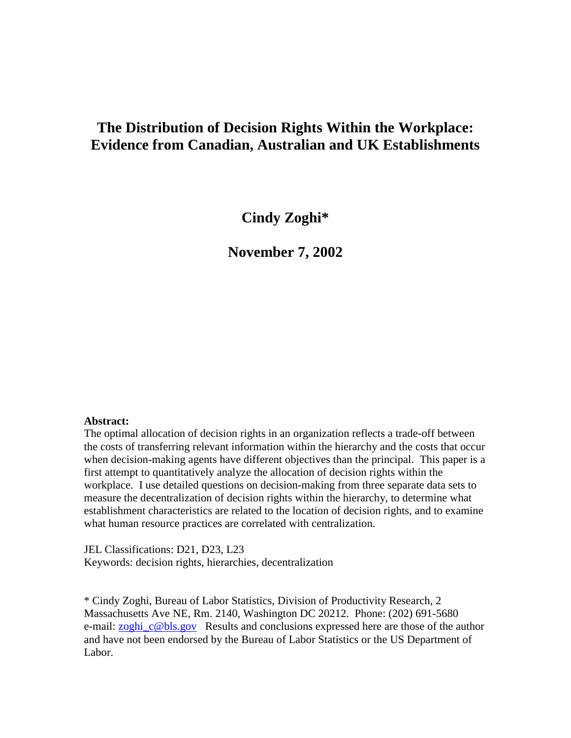# **The Distribution of Decision Rights Within the Workplace: Evidence from Canadian, Australian and UK Establishments**

**Cindy Zoghi\*** 

**November 7, 2002** 

#### **Abstract:**

The optimal allocation of decision rights in an organization reflects a trade-off between the costs of transferring relevant information within the hierarchy and the costs that occur when decision-making agents have different objectives than the principal. This paper is a first attempt to quantitatively analyze the allocation of decision rights within the workplace. I use detailed questions on decision-making from three separate data sets to measure the decentralization of decision rights within the hierarchy, to determine what establishment characteristics are related to the location of decision rights, and to examine what human resource practices are correlated with centralization.

JEL Classifications: D21, D23, L23 Keywords: decision rights, hierarchies, decentralization

\* Cindy Zoghi, Bureau of Labor Statistics, Division of Productivity Research, 2 Massachusetts Ave NE, Rm. 2140, Washington DC 20212. Phone: (202) 691-5680 e-mail: <u>zoghi\_c@bls.gov</u> Results and conclusions expressed here are those of the author and have not been endorsed by the Bureau of Labor Statistics or the US Department of Labor.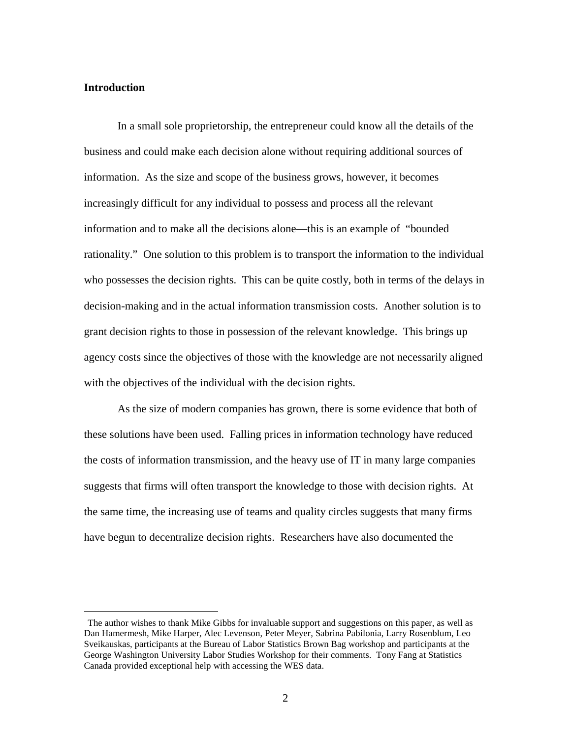#### **Introduction**

 $\overline{a}$ 

In a small sole proprietorship, the entrepreneur could know all the details of the business and could make each decision alone without requiring additional sources of information. As the size and scope of the business grows, however, it becomes increasingly difficult for any individual to possess and process all the relevant information and to make all the decisions alone—this is an example of "bounded rationality." One solution to this problem is to transport the information to the individual who possesses the decision rights. This can be quite costly, both in terms of the delays in decision-making and in the actual information transmission costs. Another solution is to grant decision rights to those in possession of the relevant knowledge. This brings up agency costs since the objectives of those with the knowledge are not necessarily aligned with the objectives of the individual with the decision rights.

As the size of modern companies has grown, there is some evidence that both of these solutions have been used. Falling prices in information technology have reduced the costs of information transmission, and the heavy use of IT in many large companies suggests that firms will often transport the knowledge to those with decision rights. At the same time, the increasing use of teams and quality circles suggests that many firms have begun to decentralize decision rights. Researchers have also documented the

The author wishes to thank Mike Gibbs for invaluable support and suggestions on this paper, as well as Dan Hamermesh, Mike Harper, Alec Levenson, Peter Meyer, Sabrina Pabilonia, Larry Rosenblum, Leo Sveikauskas, participants at the Bureau of Labor Statistics Brown Bag workshop and participants at the George Washington University Labor Studies Workshop for their comments. Tony Fang at Statistics Canada provided exceptional help with accessing the WES data.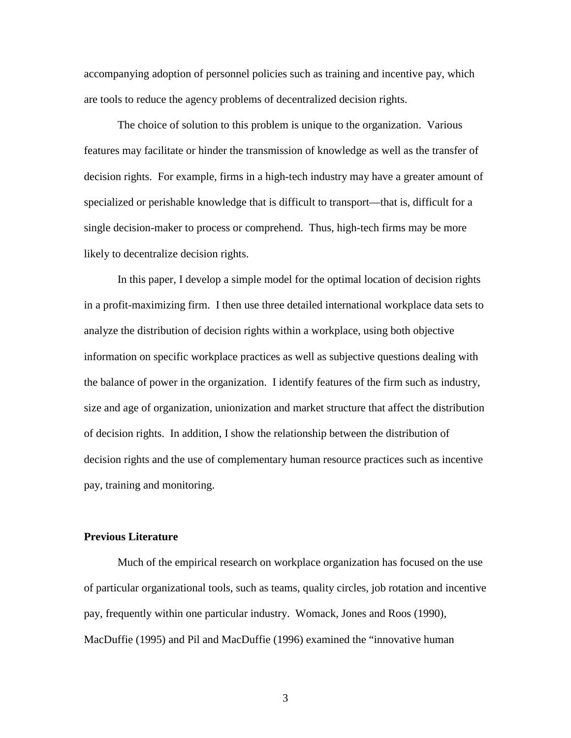accompanying adoption of personnel policies such as training and incentive pay, which are tools to reduce the agency problems of decentralized decision rights.

The choice of solution to this problem is unique to the organization. Various features may facilitate or hinder the transmission of knowledge as well as the transfer of decision rights. For example, firms in a high-tech industry may have a greater amount of specialized or perishable knowledge that is difficult to transport—that is, difficult for a single decision-maker to process or comprehend. Thus, high-tech firms may be more likely to decentralize decision rights.

In this paper, I develop a simple model for the optimal location of decision rights in a profit-maximizing firm. I then use three detailed international workplace data sets to analyze the distribution of decision rights within a workplace, using both objective information on specific workplace practices as well as subjective questions dealing with the balance of power in the organization. I identify features of the firm such as industry, size and age of organization, unionization and market structure that affect the distribution of decision rights. In addition, I show the relationship between the distribution of decision rights and the use of complementary human resource practices such as incentive pay, training and monitoring.

#### **Previous Literature**

 Much of the empirical research on workplace organization has focused on the use of particular organizational tools, such as teams, quality circles, job rotation and incentive pay, frequently within one particular industry. Womack, Jones and Roos (1990), MacDuffie (1995) and Pil and MacDuffie (1996) examined the "innovative human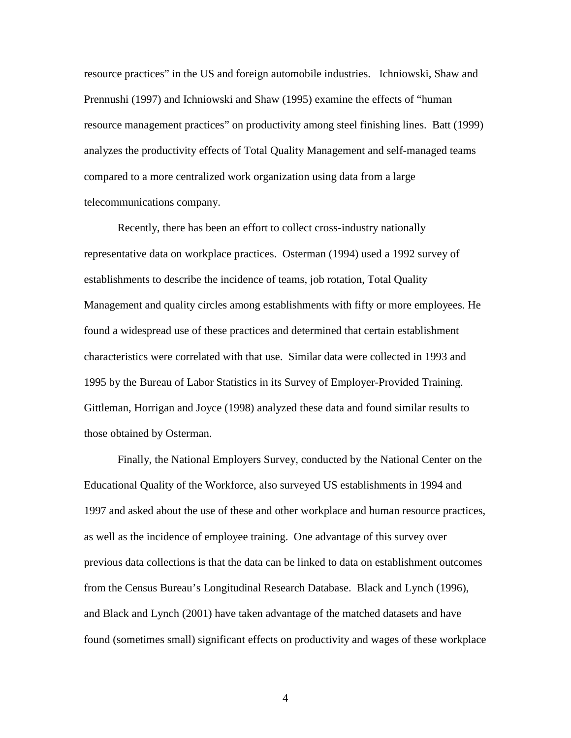resource practices" in the US and foreign automobile industries. Ichniowski, Shaw and Prennushi (1997) and Ichniowski and Shaw (1995) examine the effects of "human resource management practices" on productivity among steel finishing lines. Batt (1999) analyzes the productivity effects of Total Quality Management and self-managed teams compared to a more centralized work organization using data from a large telecommunications company.

Recently, there has been an effort to collect cross-industry nationally representative data on workplace practices. Osterman (1994) used a 1992 survey of establishments to describe the incidence of teams, job rotation, Total Quality Management and quality circles among establishments with fifty or more employees. He found a widespread use of these practices and determined that certain establishment characteristics were correlated with that use. Similar data were collected in 1993 and 1995 by the Bureau of Labor Statistics in its Survey of Employer-Provided Training. Gittleman, Horrigan and Joyce (1998) analyzed these data and found similar results to those obtained by Osterman.

Finally, the National Employers Survey, conducted by the National Center on the Educational Quality of the Workforce, also surveyed US establishments in 1994 and 1997 and asked about the use of these and other workplace and human resource practices, as well as the incidence of employee training. One advantage of this survey over previous data collections is that the data can be linked to data on establishment outcomes from the Census Bureau's Longitudinal Research Database. Black and Lynch (1996), and Black and Lynch (2001) have taken advantage of the matched datasets and have found (sometimes small) significant effects on productivity and wages of these workplace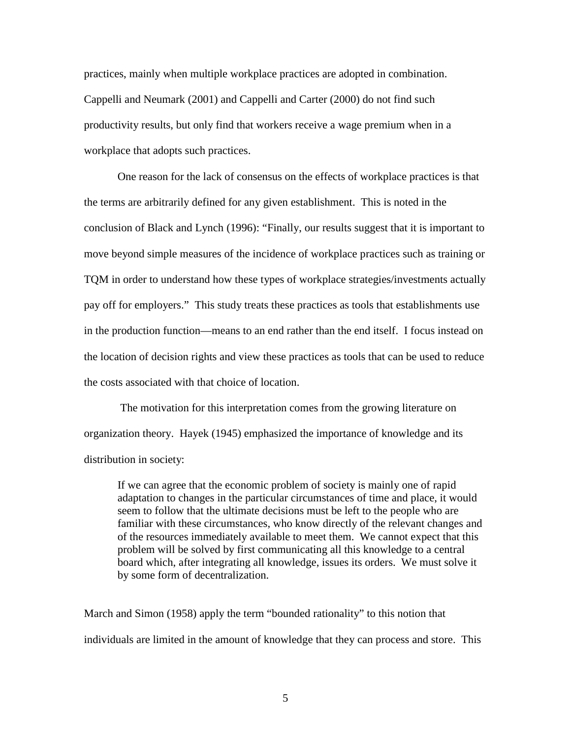practices, mainly when multiple workplace practices are adopted in combination. Cappelli and Neumark (2001) and Cappelli and Carter (2000) do not find such productivity results, but only find that workers receive a wage premium when in a workplace that adopts such practices.

One reason for the lack of consensus on the effects of workplace practices is that the terms are arbitrarily defined for any given establishment. This is noted in the conclusion of Black and Lynch (1996): "Finally, our results suggest that it is important to move beyond simple measures of the incidence of workplace practices such as training or TQM in order to understand how these types of workplace strategies/investments actually pay off for employers." This study treats these practices as tools that establishments use in the production function—means to an end rather than the end itself. I focus instead on the location of decision rights and view these practices as tools that can be used to reduce the costs associated with that choice of location.

 The motivation for this interpretation comes from the growing literature on organization theory. Hayek (1945) emphasized the importance of knowledge and its distribution in society:

If we can agree that the economic problem of society is mainly one of rapid adaptation to changes in the particular circumstances of time and place, it would seem to follow that the ultimate decisions must be left to the people who are familiar with these circumstances, who know directly of the relevant changes and of the resources immediately available to meet them. We cannot expect that this problem will be solved by first communicating all this knowledge to a central board which, after integrating all knowledge, issues its orders. We must solve it by some form of decentralization.

March and Simon (1958) apply the term "bounded rationality" to this notion that individuals are limited in the amount of knowledge that they can process and store. This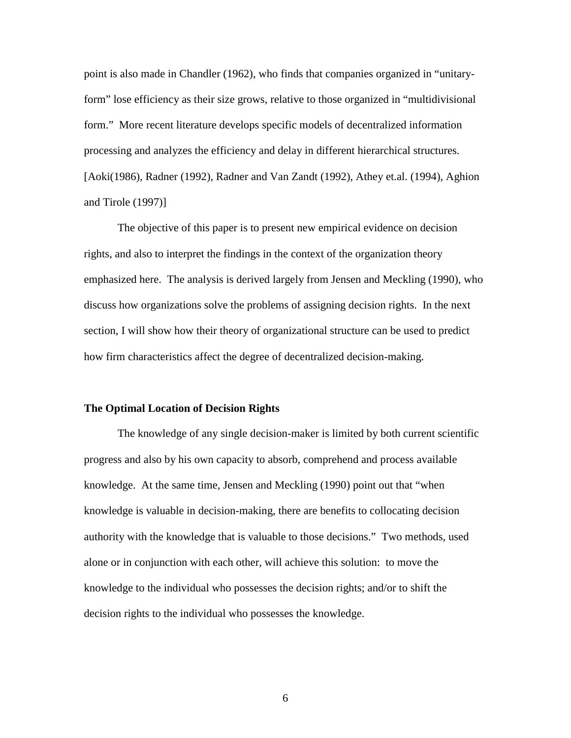point is also made in Chandler (1962), who finds that companies organized in "unitaryform" lose efficiency as their size grows, relative to those organized in "multidivisional form." More recent literature develops specific models of decentralized information processing and analyzes the efficiency and delay in different hierarchical structures. [Aoki(1986), Radner (1992), Radner and Van Zandt (1992), Athey et.al. (1994), Aghion and Tirole (1997)]

 The objective of this paper is to present new empirical evidence on decision rights, and also to interpret the findings in the context of the organization theory emphasized here. The analysis is derived largely from Jensen and Meckling (1990), who discuss how organizations solve the problems of assigning decision rights. In the next section, I will show how their theory of organizational structure can be used to predict how firm characteristics affect the degree of decentralized decision-making.

#### **The Optimal Location of Decision Rights**

 The knowledge of any single decision-maker is limited by both current scientific progress and also by his own capacity to absorb, comprehend and process available knowledge. At the same time, Jensen and Meckling (1990) point out that "when knowledge is valuable in decision-making, there are benefits to collocating decision authority with the knowledge that is valuable to those decisions." Two methods, used alone or in conjunction with each other, will achieve this solution: to move the knowledge to the individual who possesses the decision rights; and/or to shift the decision rights to the individual who possesses the knowledge.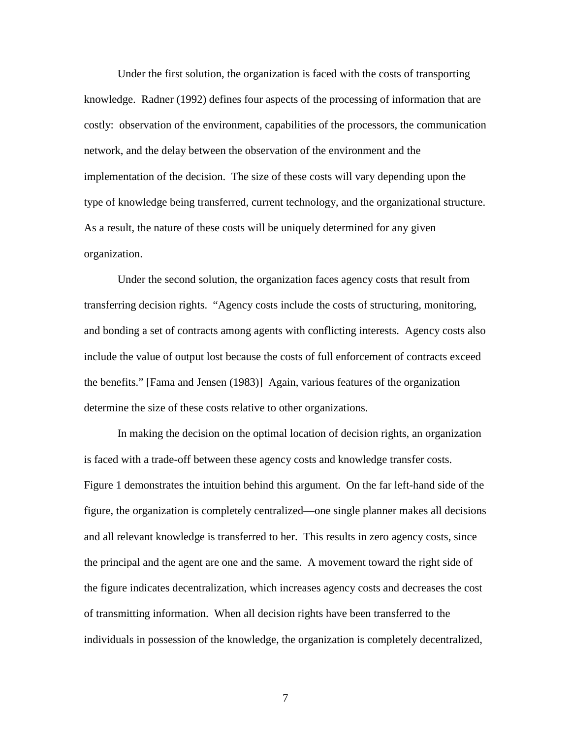Under the first solution, the organization is faced with the costs of transporting knowledge. Radner (1992) defines four aspects of the processing of information that are costly: observation of the environment, capabilities of the processors, the communication network, and the delay between the observation of the environment and the implementation of the decision. The size of these costs will vary depending upon the type of knowledge being transferred, current technology, and the organizational structure. As a result, the nature of these costs will be uniquely determined for any given organization.

 Under the second solution, the organization faces agency costs that result from transferring decision rights. "Agency costs include the costs of structuring, monitoring, and bonding a set of contracts among agents with conflicting interests. Agency costs also include the value of output lost because the costs of full enforcement of contracts exceed the benefits." [Fama and Jensen (1983)] Again, various features of the organization determine the size of these costs relative to other organizations.

 In making the decision on the optimal location of decision rights, an organization is faced with a trade-off between these agency costs and knowledge transfer costs. Figure 1 demonstrates the intuition behind this argument. On the far left-hand side of the figure, the organization is completely centralized—one single planner makes all decisions and all relevant knowledge is transferred to her. This results in zero agency costs, since the principal and the agent are one and the same. A movement toward the right side of the figure indicates decentralization, which increases agency costs and decreases the cost of transmitting information. When all decision rights have been transferred to the individuals in possession of the knowledge, the organization is completely decentralized,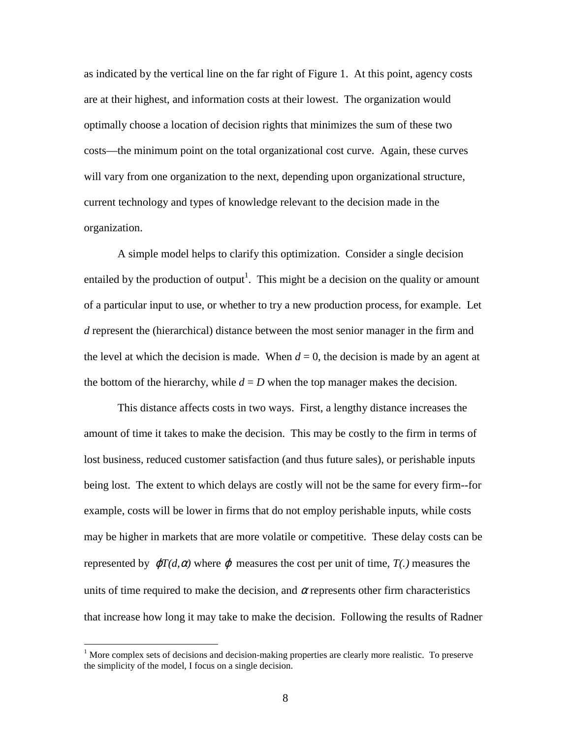as indicated by the vertical line on the far right of Figure 1. At this point, agency costs are at their highest, and information costs at their lowest. The organization would optimally choose a location of decision rights that minimizes the sum of these two costs—the minimum point on the total organizational cost curve. Again, these curves will vary from one organization to the next, depending upon organizational structure, current technology and types of knowledge relevant to the decision made in the organization.

A simple model helps to clarify this optimization. Consider a single decision entailed by the production of output<sup>1</sup>. This might be a decision on the quality or amount of a particular input to use, or whether to try a new production process, for example. Let *d* represent the (hierarchical) distance between the most senior manager in the firm and the level at which the decision is made. When  $d = 0$ , the decision is made by an agent at the bottom of the hierarchy, while  $d = D$  when the top manager makes the decision.

This distance affects costs in two ways. First, a lengthy distance increases the amount of time it takes to make the decision. This may be costly to the firm in terms of lost business, reduced customer satisfaction (and thus future sales), or perishable inputs being lost. The extent to which delays are costly will not be the same for every firm--for example, costs will be lower in firms that do not employ perishable inputs, while costs may be higher in markets that are more volatile or competitive. These delay costs can be represented by  $\varphi T(d, \alpha)$  where  $\varphi$  measures the cost per unit of time,  $T(.)$  measures the units of time required to make the decision, and  $\alpha$  represents other firm characteristics that increase how long it may take to make the decision. Following the results of Radner

 $\overline{a}$ 

 $<sup>1</sup>$  More complex sets of decisions and decision-making properties are clearly more realistic. To preserve</sup> the simplicity of the model, I focus on a single decision.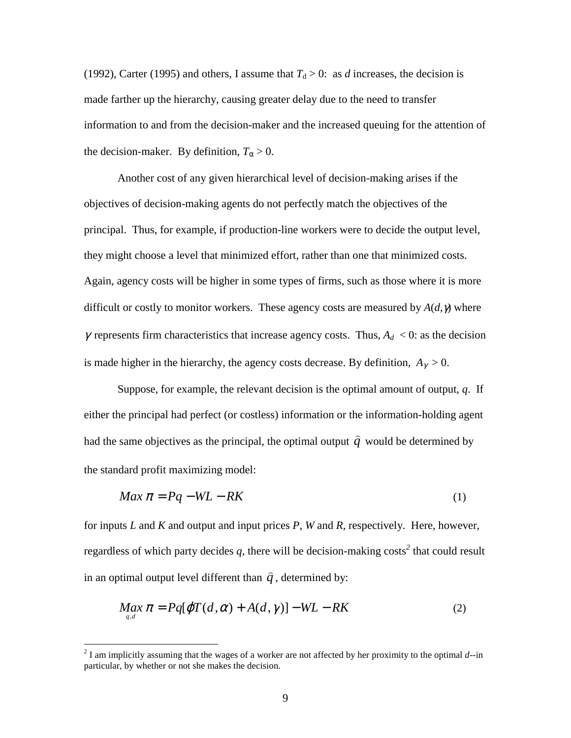(1992), Carter (1995) and others, I assume that  $T_d > 0$ : as *d* increases, the decision is made farther up the hierarchy, causing greater delay due to the need to transfer information to and from the decision-maker and the increased queuing for the attention of the decision-maker. By definition,  $T_\alpha > 0$ .

Another cost of any given hierarchical level of decision-making arises if the objectives of decision-making agents do not perfectly match the objectives of the principal. Thus, for example, if production-line workers were to decide the output level, they might choose a level that minimized effort, rather than one that minimized costs. Again, agency costs will be higher in some types of firms, such as those where it is more difficult or costly to monitor workers. These agency costs are measured by  $A(d, \gamma)$  where  $\gamma$  represents firm characteristics that increase agency costs. Thus,  $A_d < 0$ : as the decision is made higher in the hierarchy, the agency costs decrease. By definition,  $A_{\gamma} > 0$ .

Suppose, for example, the relevant decision is the optimal amount of output, *q*. If either the principal had perfect (or costless) information or the information-holding agent had the same objectives as the principal, the optimal output  $\hat{q}$  would be determined by the standard profit maximizing model:

$$
Max \pi = Pq - WL - RK \tag{1}
$$

for inputs *L* and *K* and output and input prices *P*, *W* and *R*, respectively. Here, however, regardless of which party decides *q*, there will be decision-making costs*<sup>2</sup>* that could result in an optimal output level different than  $\hat{q}$ , determined by:

$$
\underset{q,d}{Max}\,\pi = Pq[\varphi T(d,\alpha) + A(d,\gamma)] - WL - RK \tag{2}
$$

<sup>&</sup>lt;sup>2</sup> I am implicitly assuming that the wages of a worker are not affected by her proximity to the optimal *d*--in particular, by whether or not she makes the decision.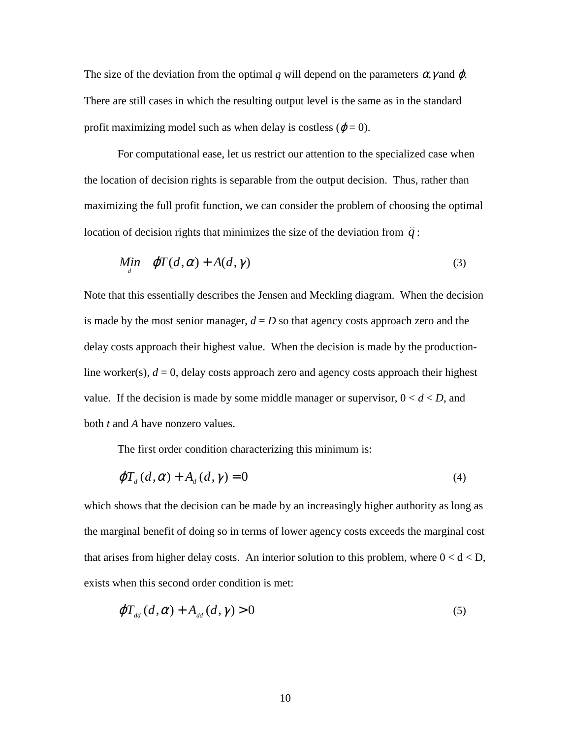The size of the deviation from the optimal q will depend on the parameters  $\alpha$ , y and  $\varphi$ . There are still cases in which the resulting output level is the same as in the standard profit maximizing model such as when delay is costless ( $\varphi = 0$ ).

For computational ease, let us restrict our attention to the specialized case when the location of decision rights is separable from the output decision. Thus, rather than maximizing the full profit function, we can consider the problem of choosing the optimal location of decision rights that minimizes the size of the deviation from  $\hat{q}$ :

$$
\underset{d}{\text{Min}} \quad \varphi T(d, \alpha) + A(d, \gamma) \tag{3}
$$

Note that this essentially describes the Jensen and Meckling diagram. When the decision is made by the most senior manager,  $d = D$  so that agency costs approach zero and the delay costs approach their highest value. When the decision is made by the productionline worker(s),  $d = 0$ , delay costs approach zero and agency costs approach their highest value. If the decision is made by some middle manager or supervisor,  $0 < d < D$ , and both *t* and *A* have nonzero values.

The first order condition characterizing this minimum is:

$$
\varphi T_d(d, \alpha) + A_d(d, \gamma) = 0 \tag{4}
$$

which shows that the decision can be made by an increasingly higher authority as long as the marginal benefit of doing so in terms of lower agency costs exceeds the marginal cost that arises from higher delay costs. An interior solution to this problem, where  $0 < d < D$ , exists when this second order condition is met:

$$
\varphi T_{\rm dd}(d,\alpha) + A_{\rm dd}(d,\gamma) > 0 \tag{5}
$$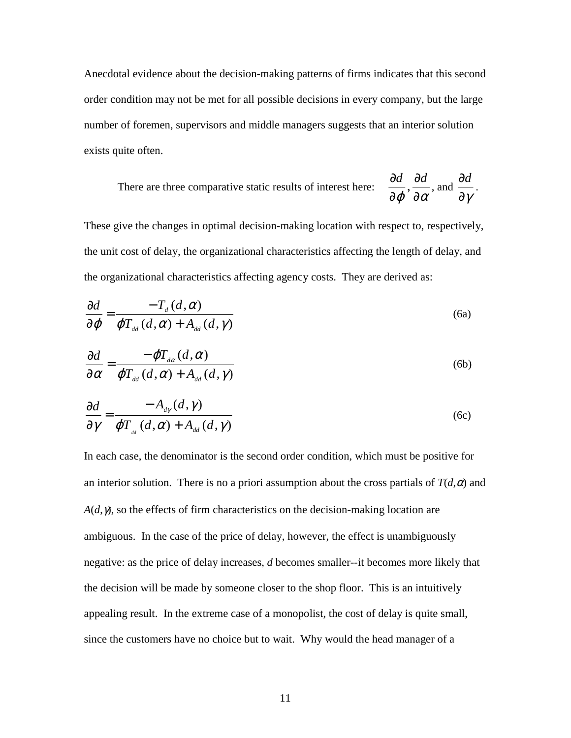Anecdotal evidence about the decision-making patterns of firms indicates that this second order condition may not be met for all possible decisions in every company, but the large number of foremen, supervisors and middle managers suggests that an interior solution exists quite often.

There are three comparative static results of interest here: 
$$
\frac{\partial d}{\partial \varphi}, \frac{\partial d}{\partial \alpha}
$$
, and  $\frac{\partial d}{\partial \gamma}$ .

These give the changes in optimal decision-making location with respect to, respectively, the unit cost of delay, the organizational characteristics affecting the length of delay, and the organizational characteristics affecting agency costs. They are derived as:

$$
\frac{\partial d}{\partial \varphi} = \frac{-T_d(d, \alpha)}{\varphi T_{dd}(d, \alpha) + A_{dd}(d, \gamma)}
$$
(6a)

$$
\frac{\partial d}{\partial \alpha} = \frac{-\varphi T_{d\alpha}(d, \alpha)}{\varphi T_{d\alpha}(d, \alpha) + A_{d\alpha}(d, \gamma)}
$$
(6b)

$$
\frac{\partial d}{\partial \gamma} = \frac{-A_{d\gamma}(d, \gamma)}{\varphi T_{d\alpha}(d, \alpha) + A_{dd}(d, \gamma)}
$$
(6c)

In each case, the denominator is the second order condition, which must be positive for an interior solution. There is no a priori assumption about the cross partials of  $T(d, \alpha)$  and  $A(d, \gamma)$ , so the effects of firm characteristics on the decision-making location are ambiguous. In the case of the price of delay, however, the effect is unambiguously negative: as the price of delay increases, *d* becomes smaller--it becomes more likely that the decision will be made by someone closer to the shop floor. This is an intuitively appealing result. In the extreme case of a monopolist, the cost of delay is quite small, since the customers have no choice but to wait. Why would the head manager of a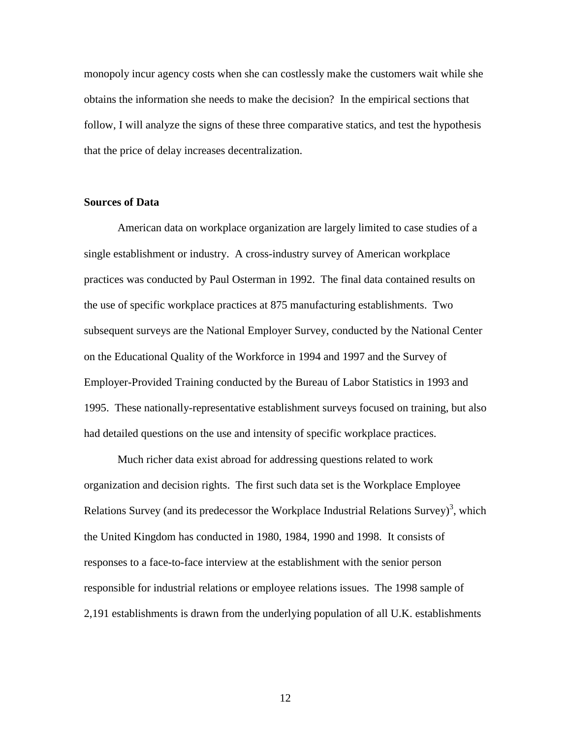monopoly incur agency costs when she can costlessly make the customers wait while she obtains the information she needs to make the decision? In the empirical sections that follow, I will analyze the signs of these three comparative statics, and test the hypothesis that the price of delay increases decentralization.

#### **Sources of Data**

 American data on workplace organization are largely limited to case studies of a single establishment or industry. A cross-industry survey of American workplace practices was conducted by Paul Osterman in 1992. The final data contained results on the use of specific workplace practices at 875 manufacturing establishments. Two subsequent surveys are the National Employer Survey, conducted by the National Center on the Educational Quality of the Workforce in 1994 and 1997 and the Survey of Employer-Provided Training conducted by the Bureau of Labor Statistics in 1993 and 1995. These nationally-representative establishment surveys focused on training, but also had detailed questions on the use and intensity of specific workplace practices.

 Much richer data exist abroad for addressing questions related to work organization and decision rights. The first such data set is the Workplace Employee Relations Survey (and its predecessor the Workplace Industrial Relations Survey)<sup>3</sup>, which the United Kingdom has conducted in 1980, 1984, 1990 and 1998. It consists of responses to a face-to-face interview at the establishment with the senior person responsible for industrial relations or employee relations issues. The 1998 sample of 2,191 establishments is drawn from the underlying population of all U.K. establishments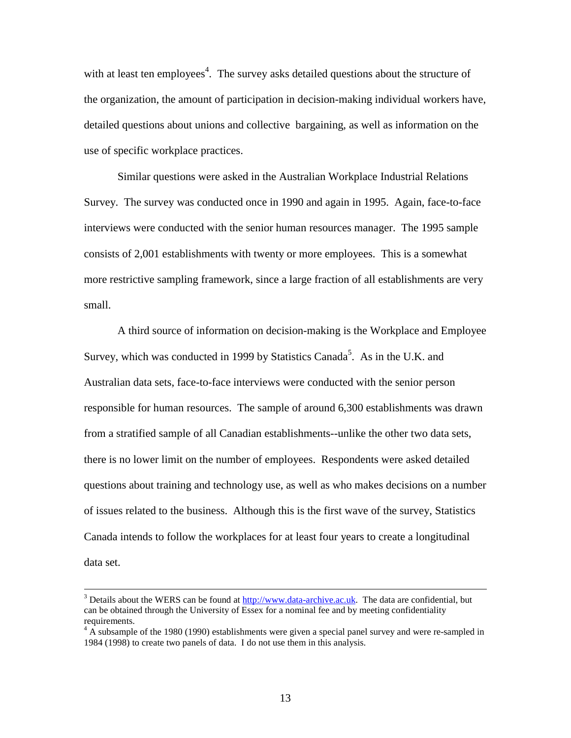with at least ten employees<sup>4</sup>. The survey asks detailed questions about the structure of the organization, the amount of participation in decision-making individual workers have, detailed questions about unions and collective bargaining, as well as information on the use of specific workplace practices.

Similar questions were asked in the Australian Workplace Industrial Relations Survey. The survey was conducted once in 1990 and again in 1995. Again, face-to-face interviews were conducted with the senior human resources manager. The 1995 sample consists of 2,001 establishments with twenty or more employees. This is a somewhat more restrictive sampling framework, since a large fraction of all establishments are very small.

 A third source of information on decision-making is the Workplace and Employee Survey, which was conducted in 1999 by Statistics Canada<sup>5</sup>. As in the U.K. and Australian data sets, face-to-face interviews were conducted with the senior person responsible for human resources. The sample of around 6,300 establishments was drawn from a stratified sample of all Canadian establishments--unlike the other two data sets, there is no lower limit on the number of employees. Respondents were asked detailed questions about training and technology use, as well as who makes decisions on a number of issues related to the business. Although this is the first wave of the survey, Statistics Canada intends to follow the workplaces for at least four years to create a longitudinal data set.

<sup>&</sup>lt;sup>2</sup><br>3  $3$  Details about the WERS can be found at http://www.data-archive.ac.uk. The data are confidential, but can be obtained through the University of Essex for a nominal fee and by meeting confidentiality requirements.

 $4 \text{ A subsample of the } 1980 (1990)$  establishments were given a special panel survey and were re-sampled in 1984 (1998) to create two panels of data. I do not use them in this analysis.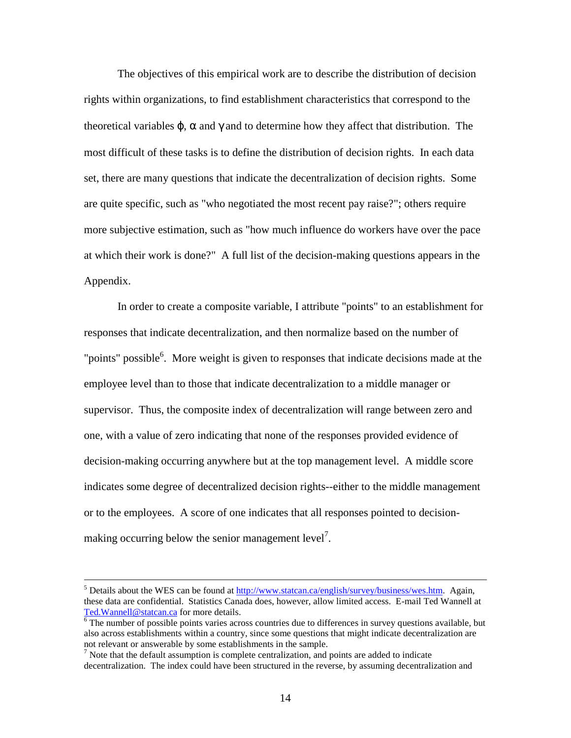The objectives of this empirical work are to describe the distribution of decision rights within organizations, to find establishment characteristics that correspond to the theoretical variables  $\varphi$ ,  $\alpha$  and  $\gamma$  and to determine how they affect that distribution. The most difficult of these tasks is to define the distribution of decision rights. In each data set, there are many questions that indicate the decentralization of decision rights. Some are quite specific, such as "who negotiated the most recent pay raise?"; others require more subjective estimation, such as "how much influence do workers have over the pace at which their work is done?" A full list of the decision-making questions appears in the Appendix.

In order to create a composite variable, I attribute "points" to an establishment for responses that indicate decentralization, and then normalize based on the number of "points" possible<sup>6</sup>. More weight is given to responses that indicate decisions made at the employee level than to those that indicate decentralization to a middle manager or supervisor. Thus, the composite index of decentralization will range between zero and one, with a value of zero indicating that none of the responses provided evidence of decision-making occurring anywhere but at the top management level. A middle score indicates some degree of decentralized decision rights--either to the middle management or to the employees. A score of one indicates that all responses pointed to decisionmaking occurring below the senior management  $level<sup>7</sup>$ .

 <sup>5</sup> <sup>5</sup> Details about the WES can be found at http://www.statcan.ca/english/survey/business/wes.htm. Again, these data are confidential. Statistics Canada does, however, allow limited access. E-mail Ted Wannell at Ted.Wannell@statcan.ca for more details.

 $\overline{6}$  The number of possible points varies across countries due to differences in survey questions available, but also across establishments within a country, since some questions that might indicate decentralization are not relevant or answerable by some establishments in the sample.

 $<sup>7</sup>$  Note that the default assumption is complete centralization, and points are added to indicate</sup> decentralization. The index could have been structured in the reverse, by assuming decentralization and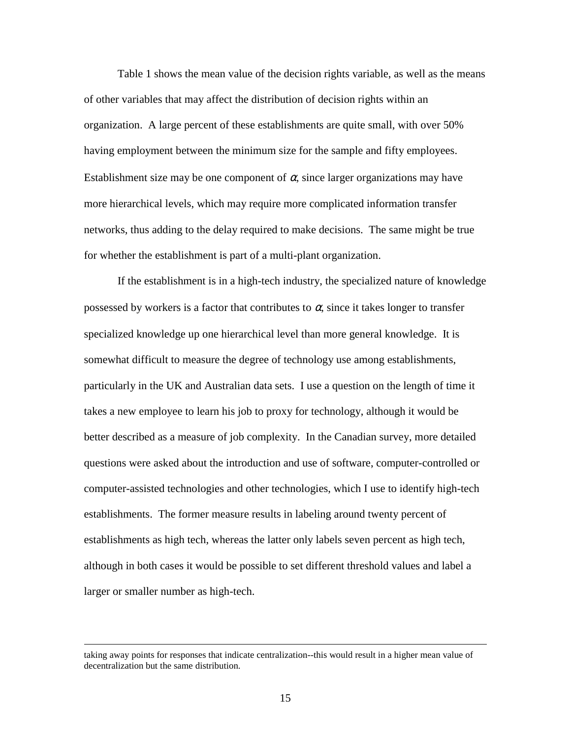Table 1 shows the mean value of the decision rights variable, as well as the means of other variables that may affect the distribution of decision rights within an organization. A large percent of these establishments are quite small, with over 50% having employment between the minimum size for the sample and fifty employees. Establishment size may be one component of  $\alpha$ , since larger organizations may have more hierarchical levels, which may require more complicated information transfer networks, thus adding to the delay required to make decisions. The same might be true for whether the establishment is part of a multi-plant organization.

If the establishment is in a high-tech industry, the specialized nature of knowledge possessed by workers is a factor that contributes to  $\alpha$ , since it takes longer to transfer specialized knowledge up one hierarchical level than more general knowledge. It is somewhat difficult to measure the degree of technology use among establishments, particularly in the UK and Australian data sets. I use a question on the length of time it takes a new employee to learn his job to proxy for technology, although it would be better described as a measure of job complexity. In the Canadian survey, more detailed questions were asked about the introduction and use of software, computer-controlled or computer-assisted technologies and other technologies, which I use to identify high-tech establishments. The former measure results in labeling around twenty percent of establishments as high tech, whereas the latter only labels seven percent as high tech, although in both cases it would be possible to set different threshold values and label a larger or smaller number as high-tech.

 $\overline{a}$ 

taking away points for responses that indicate centralization--this would result in a higher mean value of decentralization but the same distribution.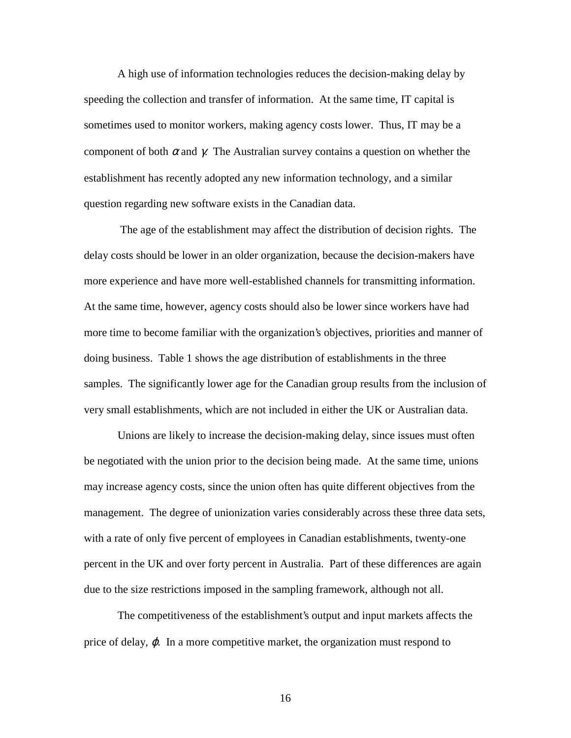A high use of information technologies reduces the decision-making delay by speeding the collection and transfer of information. At the same time, IT capital is sometimes used to monitor workers, making agency costs lower. Thus, IT may be a component of both  $\alpha$  and  $\gamma$ . The Australian survey contains a question on whether the establishment has recently adopted any new information technology, and a similar question regarding new software exists in the Canadian data.

 The age of the establishment may affect the distribution of decision rights. The delay costs should be lower in an older organization, because the decision-makers have more experience and have more well-established channels for transmitting information. At the same time, however, agency costs should also be lower since workers have had more time to become familiar with the organization's objectives, priorities and manner of doing business. Table 1 shows the age distribution of establishments in the three samples. The significantly lower age for the Canadian group results from the inclusion of very small establishments, which are not included in either the UK or Australian data.

Unions are likely to increase the decision-making delay, since issues must often be negotiated with the union prior to the decision being made. At the same time, unions may increase agency costs, since the union often has quite different objectives from the management. The degree of unionization varies considerably across these three data sets, with a rate of only five percent of employees in Canadian establishments, twenty-one percent in the UK and over forty percent in Australia. Part of these differences are again due to the size restrictions imposed in the sampling framework, although not all.

The competitiveness of the establishment's output and input markets affects the price of delay,  $\varphi$ . In a more competitive market, the organization must respond to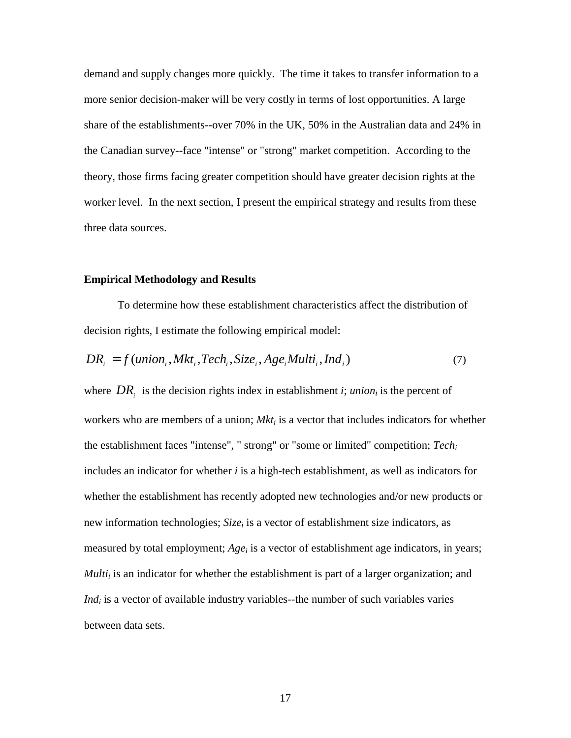demand and supply changes more quickly. The time it takes to transfer information to a more senior decision-maker will be very costly in terms of lost opportunities. A large share of the establishments--over 70% in the UK, 50% in the Australian data and 24% in the Canadian survey--face "intense" or "strong" market competition. According to the theory, those firms facing greater competition should have greater decision rights at the worker level. In the next section, I present the empirical strategy and results from these three data sources.

#### **Empirical Methodology and Results**

 To determine how these establishment characteristics affect the distribution of decision rights, I estimate the following empirical model:

$$
DR_i = f(union_i, Mkt_i, Tech_i, Size_i, Age_iMulti_i, Ind_i)
$$
\n
$$
(7)
$$

where  $DR_i$  is the decision rights index in establishment *i*; *union<sub>i</sub>* is the percent of workers who are members of a union; *Mkt<sub>i</sub>* is a vector that includes indicators for whether the establishment faces "intense", " strong" or "some or limited" competition; *Techi* includes an indicator for whether *i* is a high-tech establishment, as well as indicators for whether the establishment has recently adopted new technologies and/or new products or new information technologies; *Size<sub>i</sub>* is a vector of establishment size indicators, as measured by total employment; *Age<sub>i</sub>* is a vector of establishment age indicators, in years; *Multi<sub>i</sub>* is an indicator for whether the establishment is part of a larger organization; and *Ind<sub>i</sub>* is a vector of available industry variables--the number of such variables varies between data sets.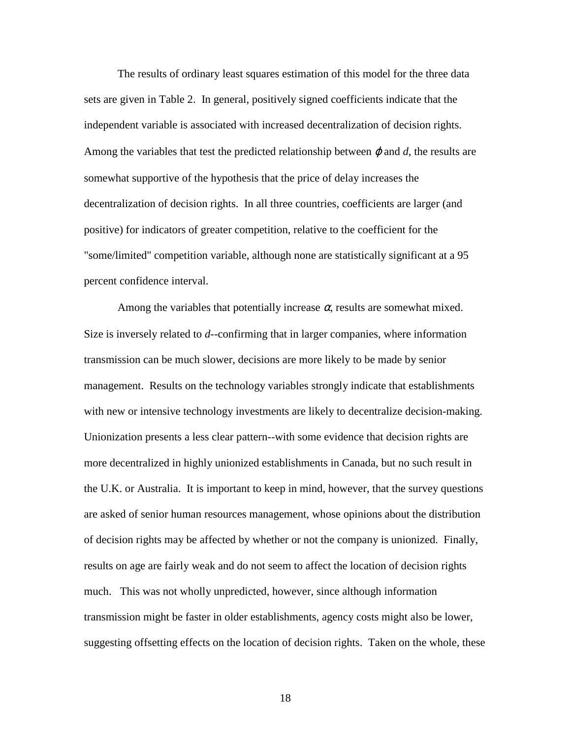The results of ordinary least squares estimation of this model for the three data sets are given in Table 2. In general, positively signed coefficients indicate that the independent variable is associated with increased decentralization of decision rights. Among the variables that test the predicted relationship between  $\varphi$  and  $d$ , the results are somewhat supportive of the hypothesis that the price of delay increases the decentralization of decision rights. In all three countries, coefficients are larger (and positive) for indicators of greater competition, relative to the coefficient for the "some/limited" competition variable, although none are statistically significant at a 95 percent confidence interval.

Among the variables that potentially increase  $\alpha$ , results are somewhat mixed. Size is inversely related to *d*--confirming that in larger companies, where information transmission can be much slower, decisions are more likely to be made by senior management. Results on the technology variables strongly indicate that establishments with new or intensive technology investments are likely to decentralize decision-making. Unionization presents a less clear pattern--with some evidence that decision rights are more decentralized in highly unionized establishments in Canada, but no such result in the U.K. or Australia. It is important to keep in mind, however, that the survey questions are asked of senior human resources management, whose opinions about the distribution of decision rights may be affected by whether or not the company is unionized. Finally, results on age are fairly weak and do not seem to affect the location of decision rights much. This was not wholly unpredicted, however, since although information transmission might be faster in older establishments, agency costs might also be lower, suggesting offsetting effects on the location of decision rights. Taken on the whole, these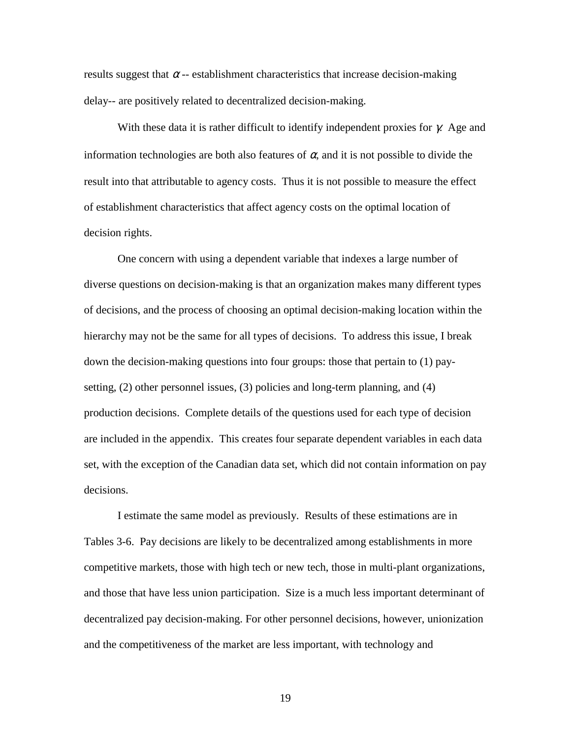results suggest that  $\alpha$  -- establishment characteristics that increase decision-making delay-- are positively related to decentralized decision-making.

With these data it is rather difficult to identify independent proxies for  $\gamma$ . Age and information technologies are both also features of  $\alpha$ , and it is not possible to divide the result into that attributable to agency costs. Thus it is not possible to measure the effect of establishment characteristics that affect agency costs on the optimal location of decision rights.

 One concern with using a dependent variable that indexes a large number of diverse questions on decision-making is that an organization makes many different types of decisions, and the process of choosing an optimal decision-making location within the hierarchy may not be the same for all types of decisions. To address this issue, I break down the decision-making questions into four groups: those that pertain to (1) paysetting, (2) other personnel issues, (3) policies and long-term planning, and (4) production decisions. Complete details of the questions used for each type of decision are included in the appendix. This creates four separate dependent variables in each data set, with the exception of the Canadian data set, which did not contain information on pay decisions.

I estimate the same model as previously. Results of these estimations are in Tables 3-6. Pay decisions are likely to be decentralized among establishments in more competitive markets, those with high tech or new tech, those in multi-plant organizations, and those that have less union participation. Size is a much less important determinant of decentralized pay decision-making. For other personnel decisions, however, unionization and the competitiveness of the market are less important, with technology and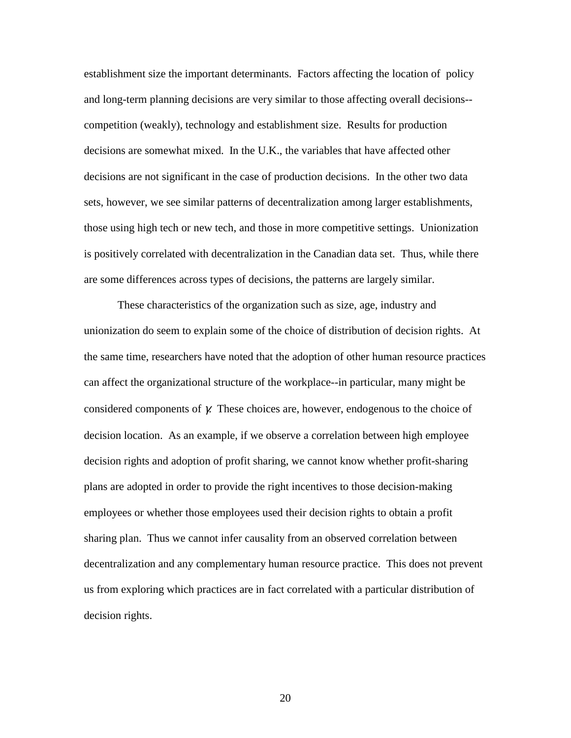establishment size the important determinants. Factors affecting the location of policy and long-term planning decisions are very similar to those affecting overall decisions- competition (weakly), technology and establishment size. Results for production decisions are somewhat mixed. In the U.K., the variables that have affected other decisions are not significant in the case of production decisions. In the other two data sets, however, we see similar patterns of decentralization among larger establishments, those using high tech or new tech, and those in more competitive settings. Unionization is positively correlated with decentralization in the Canadian data set. Thus, while there are some differences across types of decisions, the patterns are largely similar.

 These characteristics of the organization such as size, age, industry and unionization do seem to explain some of the choice of distribution of decision rights. At the same time, researchers have noted that the adoption of other human resource practices can affect the organizational structure of the workplace--in particular, many might be considered components of  $\gamma$ . These choices are, however, endogenous to the choice of decision location. As an example, if we observe a correlation between high employee decision rights and adoption of profit sharing, we cannot know whether profit-sharing plans are adopted in order to provide the right incentives to those decision-making employees or whether those employees used their decision rights to obtain a profit sharing plan. Thus we cannot infer causality from an observed correlation between decentralization and any complementary human resource practice. This does not prevent us from exploring which practices are in fact correlated with a particular distribution of decision rights.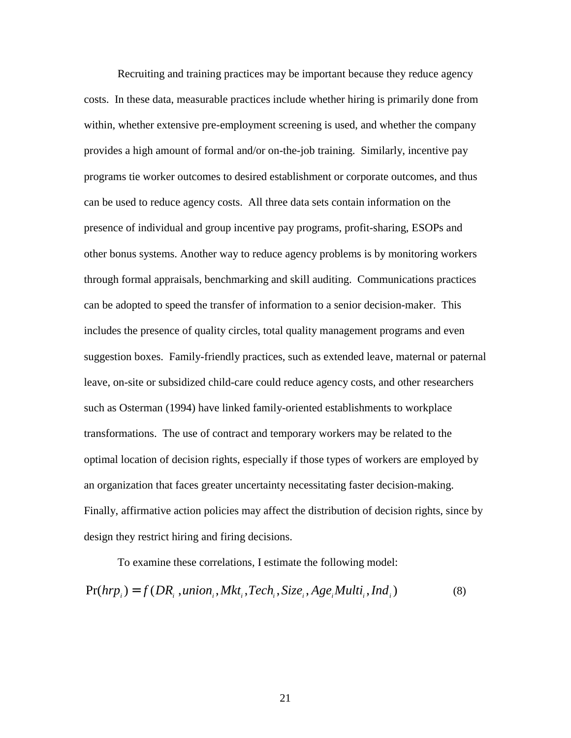Recruiting and training practices may be important because they reduce agency costs. In these data, measurable practices include whether hiring is primarily done from within, whether extensive pre-employment screening is used, and whether the company provides a high amount of formal and/or on-the-job training. Similarly, incentive pay programs tie worker outcomes to desired establishment or corporate outcomes, and thus can be used to reduce agency costs. All three data sets contain information on the presence of individual and group incentive pay programs, profit-sharing, ESOPs and other bonus systems. Another way to reduce agency problems is by monitoring workers through formal appraisals, benchmarking and skill auditing. Communications practices can be adopted to speed the transfer of information to a senior decision-maker. This includes the presence of quality circles, total quality management programs and even suggestion boxes. Family-friendly practices, such as extended leave, maternal or paternal leave, on-site or subsidized child-care could reduce agency costs, and other researchers such as Osterman (1994) have linked family-oriented establishments to workplace transformations. The use of contract and temporary workers may be related to the optimal location of decision rights, especially if those types of workers are employed by an organization that faces greater uncertainty necessitating faster decision-making. Finally, affirmative action policies may affect the distribution of decision rights, since by design they restrict hiring and firing decisions.

 To examine these correlations, I estimate the following model:  $Pr(hrp_i) = f(DR_i, union, Mkt, Tech, Size_i, Age, Multi, Ind_i)$  (8)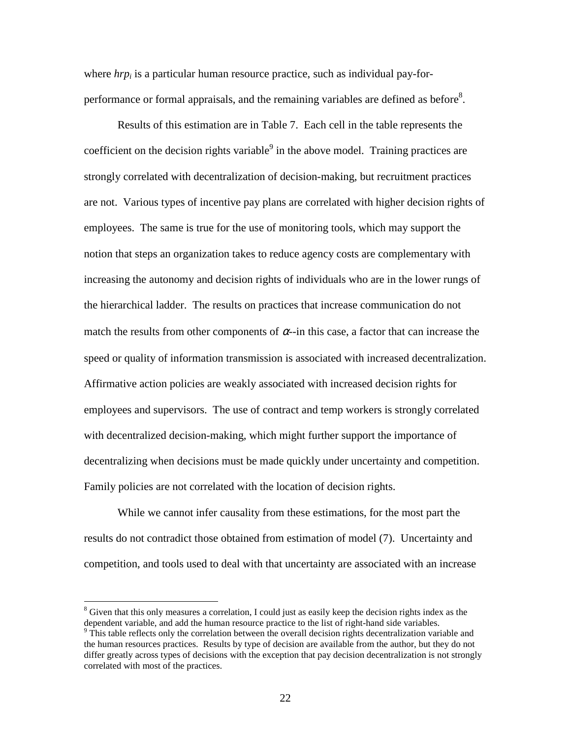where *hrp<sub>i</sub>* is a particular human resource practice, such as individual pay-forperformance or formal appraisals, and the remaining variables are defined as before<sup>8</sup>.

Results of this estimation are in Table 7. Each cell in the table represents the coefficient on the decision rights variable $9$  in the above model. Training practices are strongly correlated with decentralization of decision-making, but recruitment practices are not. Various types of incentive pay plans are correlated with higher decision rights of employees. The same is true for the use of monitoring tools, which may support the notion that steps an organization takes to reduce agency costs are complementary with increasing the autonomy and decision rights of individuals who are in the lower rungs of the hierarchical ladder. The results on practices that increase communication do not match the results from other components of  $\alpha$ -in this case, a factor that can increase the speed or quality of information transmission is associated with increased decentralization. Affirmative action policies are weakly associated with increased decision rights for employees and supervisors. The use of contract and temp workers is strongly correlated with decentralized decision-making, which might further support the importance of decentralizing when decisions must be made quickly under uncertainty and competition. Family policies are not correlated with the location of decision rights.

While we cannot infer causality from these estimations, for the most part the results do not contradict those obtained from estimation of model (7). Uncertainty and competition, and tools used to deal with that uncertainty are associated with an increase

 $\overline{a}$ 

<sup>&</sup>lt;sup>8</sup> Given that this only measures a correlation, I could just as easily keep the decision rights index as the

dependent variable, and add the human resource practice to the list of right-hand side variables.<br><sup>9</sup> This table reflects only the correlation between the overall decision rights decentralization variable and the human resources practices. Results by type of decision are available from the author, but they do not differ greatly across types of decisions with the exception that pay decision decentralization is not strongly correlated with most of the practices.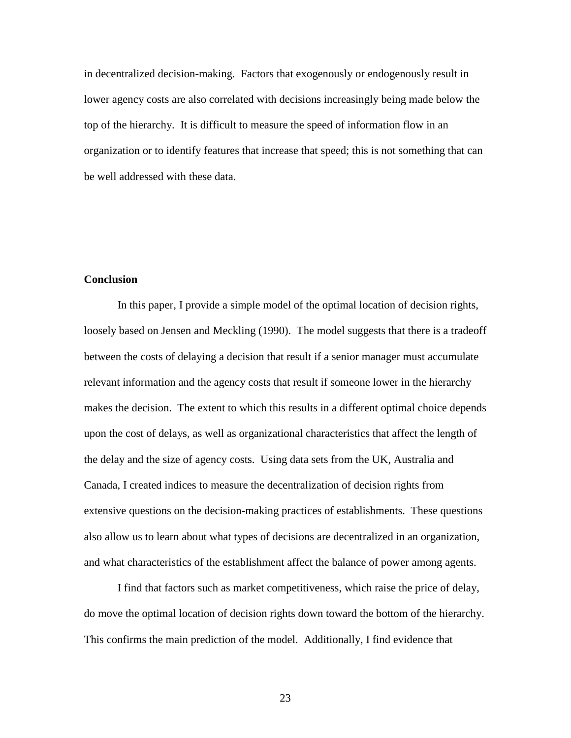in decentralized decision-making. Factors that exogenously or endogenously result in lower agency costs are also correlated with decisions increasingly being made below the top of the hierarchy. It is difficult to measure the speed of information flow in an organization or to identify features that increase that speed; this is not something that can be well addressed with these data.

### **Conclusion**

 In this paper, I provide a simple model of the optimal location of decision rights, loosely based on Jensen and Meckling (1990). The model suggests that there is a tradeoff between the costs of delaying a decision that result if a senior manager must accumulate relevant information and the agency costs that result if someone lower in the hierarchy makes the decision. The extent to which this results in a different optimal choice depends upon the cost of delays, as well as organizational characteristics that affect the length of the delay and the size of agency costs. Using data sets from the UK, Australia and Canada, I created indices to measure the decentralization of decision rights from extensive questions on the decision-making practices of establishments. These questions also allow us to learn about what types of decisions are decentralized in an organization, and what characteristics of the establishment affect the balance of power among agents.

 I find that factors such as market competitiveness, which raise the price of delay, do move the optimal location of decision rights down toward the bottom of the hierarchy. This confirms the main prediction of the model. Additionally, I find evidence that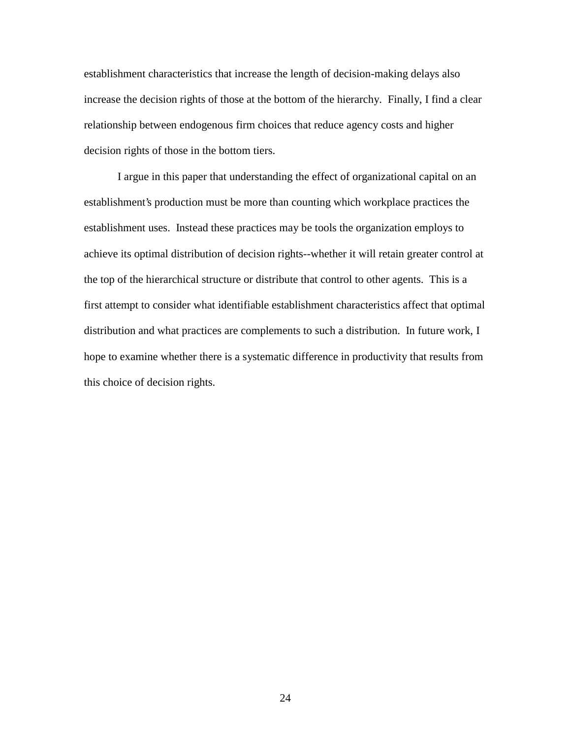establishment characteristics that increase the length of decision-making delays also increase the decision rights of those at the bottom of the hierarchy. Finally, I find a clear relationship between endogenous firm choices that reduce agency costs and higher decision rights of those in the bottom tiers.

 I argue in this paper that understanding the effect of organizational capital on an establishment's production must be more than counting which workplace practices the establishment uses. Instead these practices may be tools the organization employs to achieve its optimal distribution of decision rights--whether it will retain greater control at the top of the hierarchical structure or distribute that control to other agents. This is a first attempt to consider what identifiable establishment characteristics affect that optimal distribution and what practices are complements to such a distribution. In future work, I hope to examine whether there is a systematic difference in productivity that results from this choice of decision rights.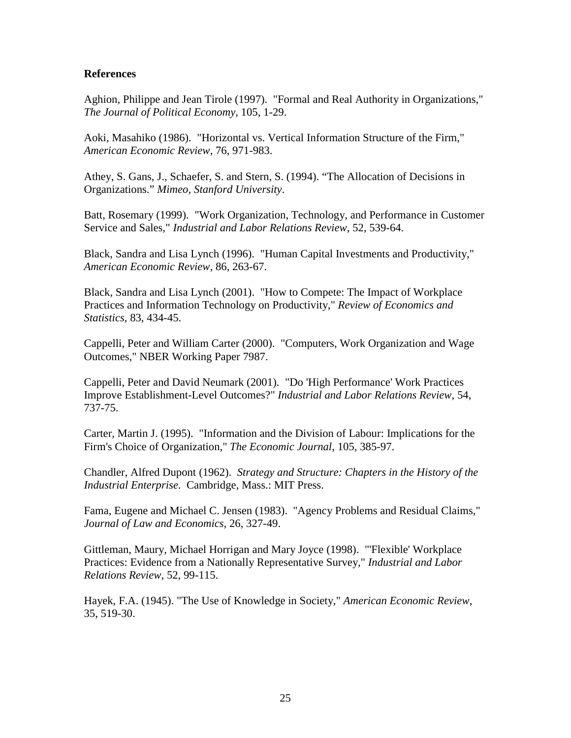#### **References**

Aghion, Philippe and Jean Tirole (1997). "Formal and Real Authority in Organizations," *The Journal of Political Economy*, 105, 1-29.

Aoki, Masahiko (1986). "Horizontal vs. Vertical Information Structure of the Firm," *American Economic Review*, 76, 971-983.

Athey, S. Gans, J., Schaefer, S. and Stern, S. (1994). "The Allocation of Decisions in Organizations." *Mimeo, Stanford University*.

Batt, Rosemary (1999). "Work Organization, Technology, and Performance in Customer Service and Sales," *Industrial and Labor Relations Review*, 52, 539-64.

Black, Sandra and Lisa Lynch (1996). "Human Capital Investments and Productivity," *American Economic Review*, 86, 263-67.

Black, Sandra and Lisa Lynch (2001). "How to Compete: The Impact of Workplace Practices and Information Technology on Productivity," *Review of Economics and Statistics*, 83, 434-45.

Cappelli, Peter and William Carter (2000). "Computers, Work Organization and Wage Outcomes," NBER Working Paper 7987.

Cappelli, Peter and David Neumark (2001). "Do 'High Performance' Work Practices Improve Establishment-Level Outcomes?" *Industrial and Labor Relations Review*, 54, 737-75.

Carter, Martin J. (1995). "Information and the Division of Labour: Implications for the Firm's Choice of Organization," *The Economic Journal*, 105, 385-97.

Chandler, Alfred Dupont (1962). *Strategy and Structure: Chapters in the History of the Industrial Enterprise*. Cambridge, Mass.: MIT Press.

Fama, Eugene and Michael C. Jensen (1983). "Agency Problems and Residual Claims," *Journal of Law and Economics*, 26, 327-49.

Gittleman, Maury, Michael Horrigan and Mary Joyce (1998). "'Flexible' Workplace Practices: Evidence from a Nationally Representative Survey," *Industrial and Labor Relations Review*, 52, 99-115.

Hayek, F.A. (1945). "The Use of Knowledge in Society," *American Economic Review*, 35, 519-30.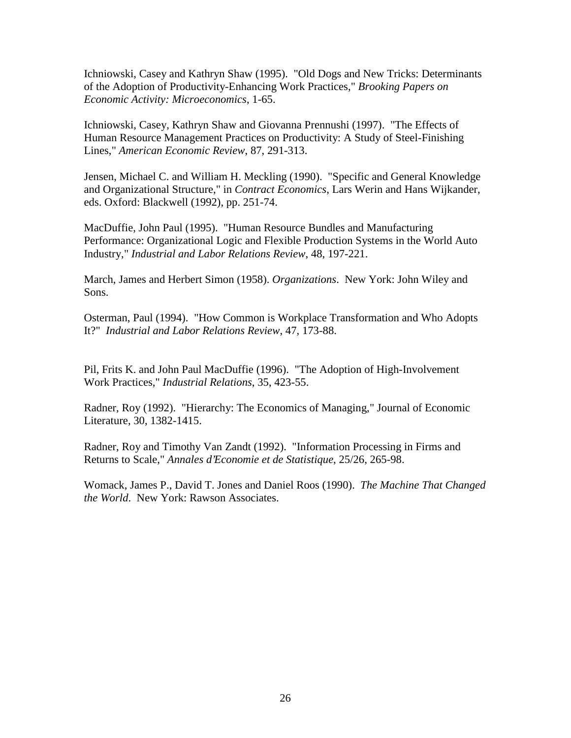Ichniowski, Casey and Kathryn Shaw (1995). "Old Dogs and New Tricks: Determinants of the Adoption of Productivity-Enhancing Work Practices," *Brooking Papers on Economic Activity: Microeconomics*, 1-65.

Ichniowski, Casey, Kathryn Shaw and Giovanna Prennushi (1997). "The Effects of Human Resource Management Practices on Productivity: A Study of Steel-Finishing Lines," *American Economic Review*, 87, 291-313.

Jensen, Michael C. and William H. Meckling (1990). "Specific and General Knowledge and Organizational Structure," in *Contract Economics*, Lars Werin and Hans Wijkander, eds. Oxford: Blackwell (1992), pp. 251-74.

MacDuffie, John Paul (1995). "Human Resource Bundles and Manufacturing Performance: Organizational Logic and Flexible Production Systems in the World Auto Industry," *Industrial and Labor Relations Review*, 48, 197-221.

March, James and Herbert Simon (1958). *Organizations*. New York: John Wiley and Sons.

Osterman, Paul (1994). "How Common is Workplace Transformation and Who Adopts It?" *Industrial and Labor Relations Review*, 47, 173-88.

Pil, Frits K. and John Paul MacDuffie (1996). "The Adoption of High-Involvement Work Practices," *Industrial Relations*, 35, 423-55.

Radner, Roy (1992). "Hierarchy: The Economics of Managing," Journal of Economic Literature, 30, 1382-1415.

Radner, Roy and Timothy Van Zandt (1992). "Information Processing in Firms and Returns to Scale," *Annales d'Economie et de Statistique*, 25/26, 265-98.

Womack, James P., David T. Jones and Daniel Roos (1990). *The Machine That Changed the World*. New York: Rawson Associates.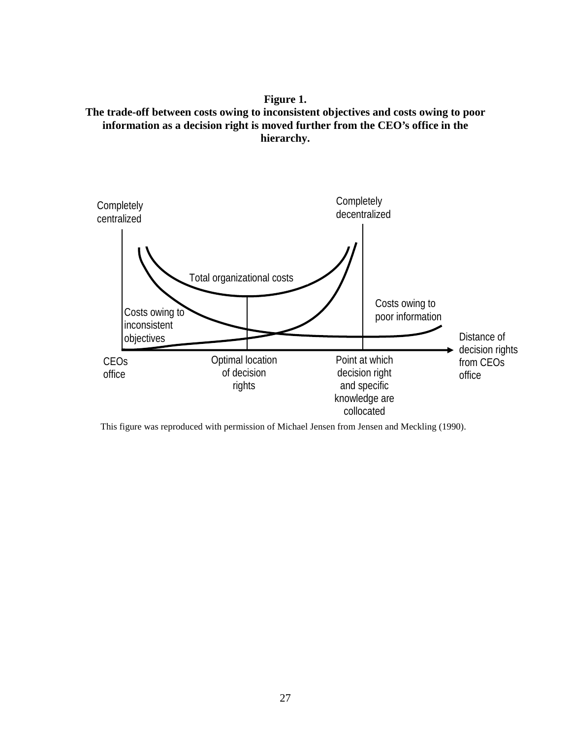**Figure 1. The trade-off between costs owing to inconsistent objectives and costs owing to poor information as a decision right is moved further from the CEO's office in the hierarchy.** 



This figure was reproduced with permission of Michael Jensen from Jensen and Meckling (1990).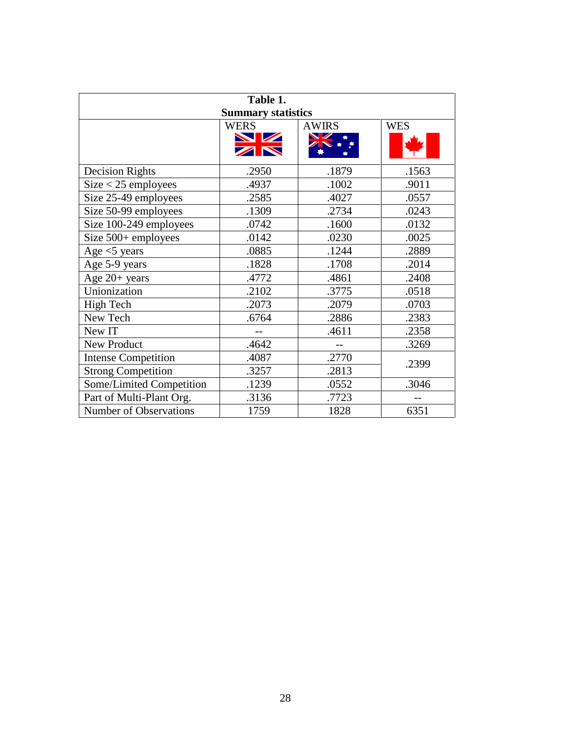| Table 1.<br><b>Summary statistics</b> |             |              |            |
|---------------------------------------|-------------|--------------|------------|
|                                       | <b>WERS</b> | <b>AWIRS</b> | <b>WES</b> |
|                                       | NZ<br>ZN    |              |            |
| <b>Decision Rights</b>                | .2950       | .1879        | .1563      |
| $Size < 25$ employees                 | .4937       | .1002        | .9011      |
| Size 25-49 employees                  | .2585       | .4027        | .0557      |
| Size 50-99 employees                  | .1309       | .2734        | .0243      |
| Size 100-249 employees                | .0742       | .1600        | .0132      |
| Size $500+$ employees                 | .0142       | .0230        | .0025      |
| Age $<$ 5 years                       | .0885       | .1244        | .2889      |
| Age 5-9 years                         | .1828       | .1708        | .2014      |
| Age 20+ years                         | .4772       | .4861        | .2408      |
| Unionization                          | .2102       | .3775        | .0518      |
| High Tech                             | .2073       | .2079        | .0703      |
| New Tech                              | .6764       | .2886        | .2383      |
| New IT                                |             | .4611        | .2358      |
| New Product                           | .4642       |              | .3269      |
| <b>Intense Competition</b>            | .4087       | .2770        | .2399      |
| <b>Strong Competition</b>             | .3257       | .2813        |            |
| Some/Limited Competition              | .1239       | .0552        | .3046      |
| Part of Multi-Plant Org.              | .3136       | .7723        |            |
| <b>Number of Observations</b>         | 1759        | 1828         | 6351       |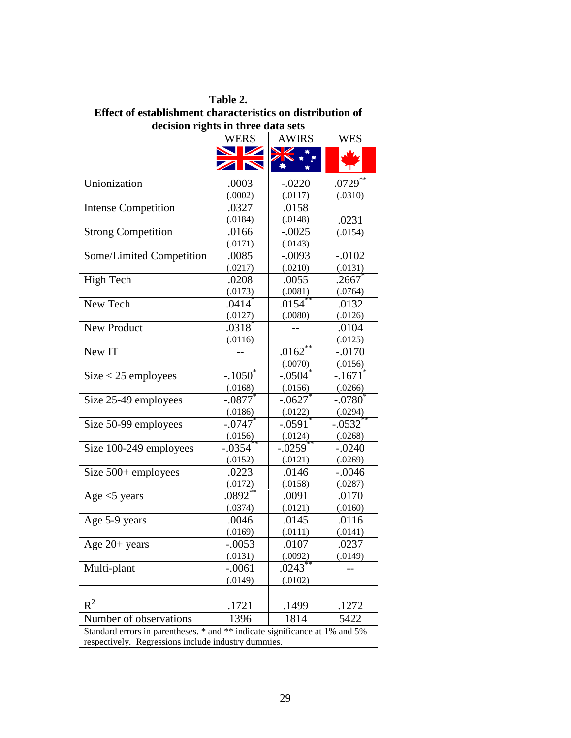| Table 2.<br>Effect of establishment characteristics on distribution of<br>decision rights in three data sets                       |                                 |                     |                       |
|------------------------------------------------------------------------------------------------------------------------------------|---------------------------------|---------------------|-----------------------|
|                                                                                                                                    | <b>WERS</b>                     | <b>AWIRS</b>        | <b>WES</b>            |
|                                                                                                                                    | <b>NZ</b><br>ZN                 | $\mathbb Z$         |                       |
| Unionization                                                                                                                       | .0003                           | $-.0220$            | .0729                 |
|                                                                                                                                    | (.0002)                         | (.0117)             | (.0310)               |
| <b>Intense Competition</b>                                                                                                         | .0327<br>(.0184)                | .0158<br>(.0148)    | .0231                 |
| <b>Strong Competition</b>                                                                                                          | .0166<br>(.0171)                | $-.0025$<br>(.0143) | (.0154)               |
| Some/Limited Competition                                                                                                           | .0085                           | $-.0093$            | $-.0102$              |
|                                                                                                                                    | (.0217)                         | (.0210)             | (.0131)               |
| High Tech                                                                                                                          | .0208                           | .0055               | .2667                 |
|                                                                                                                                    | (.0173)                         | (.0081)             | (.0764)               |
| New Tech                                                                                                                           | $.0414$ <sup>*</sup>            | .0154               | .0132                 |
|                                                                                                                                    | (.0127)                         | (.0080)             | (.0126)               |
| <b>New Product</b>                                                                                                                 | $.0318$ <sup>2</sup><br>(.0116) |                     | .0104<br>(.0125)      |
| New IT                                                                                                                             |                                 | .0162<br>(.0070)    | $-.0170$<br>(.0156)   |
| $Size < 25$ employees                                                                                                              | $-.1050^{\circ}$                | $-.0504$            | $-.1671$ <sup>*</sup> |
|                                                                                                                                    | (.0168)                         | (.0156)             | (.0266)               |
| Size 25-49 employees                                                                                                               | $-.0877$ <sup>*</sup>           | $-.0627$            | $-.0780$              |
|                                                                                                                                    | (.0186)                         | (.0122)             | (.0294)               |
| Size 50-99 employees                                                                                                               | $-.0747$ <sup>*</sup>           | $-.0591$            | $-.0532$ <sup>*</sup> |
|                                                                                                                                    | (.0156)                         | (.0124)             | (.0268)               |
| Size 100-249 employees                                                                                                             | $-.0354$                        | $-.0259$            | $-.0240$              |
|                                                                                                                                    | (.0152)                         | (.0121)             | (.0269)               |
| Size $500+$ employees                                                                                                              | .0223                           | .0146               | $-.0046$              |
|                                                                                                                                    | (.0172)                         | (.0158)             | (.0287)               |
| Age $<$ 5 years                                                                                                                    | .0892                           | .0091               | .0170                 |
|                                                                                                                                    | (.0374)                         | (.0121)             | (.0160)               |
| Age 5-9 years                                                                                                                      | .0046                           | .0145               | .0116                 |
|                                                                                                                                    | (.0169)                         | (.0111)             | (.0141)               |
| Age $20+$ years                                                                                                                    | $-.0053$                        | .0107               | .0237                 |
|                                                                                                                                    | (.0131)                         | (.0092)             | (.0149)               |
| Multi-plant                                                                                                                        | $-.0061$<br>(.0149)             | .0243<br>(.0102)    |                       |
| $R^2$                                                                                                                              | .1721                           | .1499               | .1272                 |
| Number of observations                                                                                                             | 1396                            | 1814                | 5422                  |
| Standard errors in parentheses. * and ** indicate significance at 1% and 5%<br>respectively. Regressions include industry dummies. |                                 |                     |                       |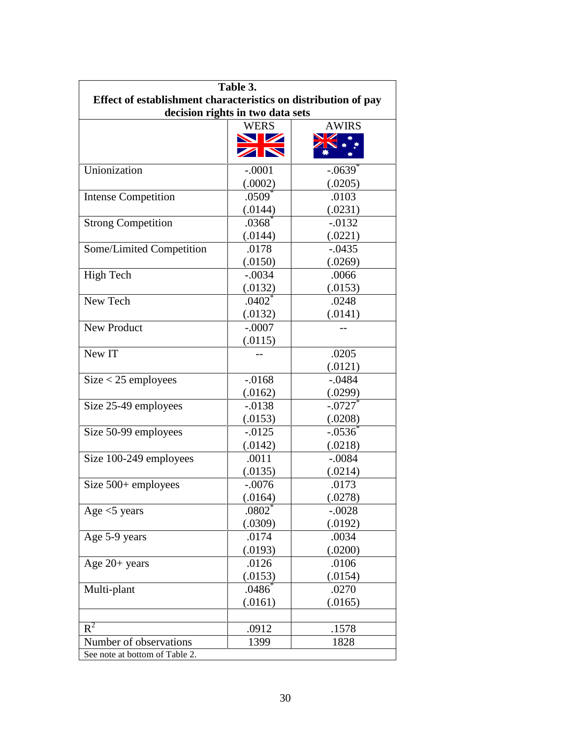| Table 3.                                                       |                      |                       |  |  |
|----------------------------------------------------------------|----------------------|-----------------------|--|--|
| Effect of establishment characteristics on distribution of pay |                      |                       |  |  |
| decision rights in two data sets                               |                      |                       |  |  |
|                                                                | <b>WERS</b>          | <b>AWIRS</b>          |  |  |
|                                                                | NV Z                 |                       |  |  |
|                                                                | ZN                   |                       |  |  |
| Unionization                                                   | $-.0001$             | $-.0639$ <sup>*</sup> |  |  |
|                                                                | (.0002)              | (.0205)               |  |  |
| <b>Intense Competition</b>                                     | $.0509$ <sup>*</sup> | .0103                 |  |  |
|                                                                | (.0144)              | (.0231)               |  |  |
| <b>Strong Competition</b>                                      | .0368                | $-.0132$              |  |  |
|                                                                | (.0144)              | (.0221)               |  |  |
| Some/Limited Competition                                       | .0178                | $-.0435$              |  |  |
|                                                                | (.0150)              | (.0269)               |  |  |
| <b>High Tech</b>                                               | $-.0034$             | .0066                 |  |  |
|                                                                | (.0132)              | (.0153)               |  |  |
| New Tech                                                       | $.0402$ <sup>*</sup> | .0248                 |  |  |
|                                                                | (.0132)              | (.0141)               |  |  |
| <b>New Product</b>                                             | $-.0007$             |                       |  |  |
|                                                                | (.0115)              |                       |  |  |
| New IT                                                         |                      | .0205                 |  |  |
|                                                                |                      | (.0121)               |  |  |
| $Size < 25$ employees                                          | $-0.0168$            | $-.0484$              |  |  |
|                                                                | (.0162)              | (.0299)               |  |  |
| Size 25-49 employees                                           | $-.0138$             | $-.0727$              |  |  |
|                                                                | (.0153)              | (.0208)               |  |  |
| Size 50-99 employees                                           | $-0.0125$            | $-.0536$              |  |  |
|                                                                | (.0142)              | (.0218)               |  |  |
| Size 100-249 employees                                         | .0011                | $-.0084$              |  |  |
|                                                                | (.0135)              | (.0214)               |  |  |
| Size $500+$ employees                                          | $-.0076$             | .0173                 |  |  |
|                                                                | (.0164)              | (.0278)               |  |  |
| Age $<$ 5 years                                                | $.0802$ <sup>*</sup> | $-.0028$              |  |  |
|                                                                | (.0309)              | (.0192)               |  |  |
| Age 5-9 years                                                  | .0174                | .0034                 |  |  |
|                                                                | (.0193)              | (.0200)               |  |  |
| Age $20+$ years                                                | .0126                | .0106                 |  |  |
|                                                                | (.0153)              | (.0154)               |  |  |
| Multi-plant                                                    | .0486                | .0270                 |  |  |
|                                                                | (.0161)              | (.0165)               |  |  |
|                                                                |                      |                       |  |  |
| $R^2$                                                          | .0912                | .1578                 |  |  |
| Number of observations                                         | 1399                 | 1828                  |  |  |
| See note at bottom of Table 2.                                 |                      |                       |  |  |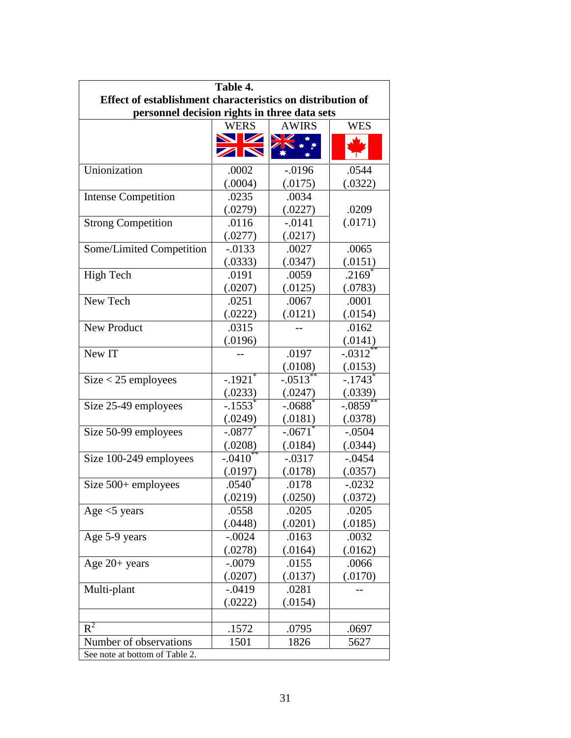| Table 4.                                                   |                       |                       |                        |
|------------------------------------------------------------|-----------------------|-----------------------|------------------------|
| Effect of establishment characteristics on distribution of |                       |                       |                        |
| personnel decision rights in three data sets               |                       |                       |                        |
|                                                            | <b>WERS</b>           | <b>AWIRS</b>          | <b>WES</b>             |
|                                                            | NV Z<br>ZN            | VZ                    |                        |
| Unionization                                               | .0002                 | $-0.0196$             | .0544                  |
|                                                            | (.0004)               | (.0175)               | (.0322)                |
| <b>Intense Competition</b>                                 | .0235                 | .0034                 |                        |
|                                                            | (.0279)               | (.0227)               | .0209                  |
| <b>Strong Competition</b>                                  | .0116                 | $-.0141$              | (.0171)                |
|                                                            | (.0277)               | (.0217)               |                        |
| Some/Limited Competition                                   | $-0.0133$             | .0027                 | .0065                  |
|                                                            | (.0333)               | (.0347)               | (.0151)                |
| <b>High Tech</b>                                           | .0191                 | .0059                 | .2169                  |
|                                                            | (.0207)               | (.0125)               | (.0783)                |
| New Tech                                                   | .0251                 | .0067                 | .0001                  |
|                                                            | (.0222)               | (.0121)               | (.0154)                |
| New Product                                                | .0315                 |                       | .0162                  |
|                                                            | (.0196)               |                       | (.0141)                |
| New IT                                                     |                       | .0197                 | $-.0312$ <sup>*</sup>  |
|                                                            |                       | (.0108)               | (.0153)                |
| $Size < 25$ employees                                      | $-.1921$ <sup>*</sup> | $-.0513$ <sup>*</sup> | $-.1743$ <sup>*</sup>  |
|                                                            | (.0233)               | (.0247)               | (.0339)                |
| Size 25-49 employees                                       | $-.1553$ <sup>*</sup> | $-.0688$ <sup>*</sup> | $-.0859$ <sup>**</sup> |
|                                                            | (.0249)               | (.0181)               | (.0378)                |
| Size 50-99 employees                                       | $-.0877$              | $-.0671$              | $-.0504$               |
|                                                            | (.0208)               | (.0184)               | (.0344)                |
| Size 100-249 employees                                     | $-.0410^{**}$         | $-.0317$              | $-.0454$               |
|                                                            | (.0197)               | (.0178)               | (.0357)                |
| Size $500+$ employees                                      | .0540 <sup>°</sup>    | .0178                 | $-.0232$               |
|                                                            | (.0219)               | (.0250)               | (.0372)                |
| Age $<$ 5 years                                            | .0558                 | .0205                 | .0205                  |
|                                                            | (.0448)               | (.0201)               | (.0185)                |
| Age 5-9 years                                              | $-.0024$              | .0163                 | .0032                  |
|                                                            | (.0278)               | (.0164)               | (.0162)                |
| Age $20+$ years                                            | $-.0079$              | .0155                 | .0066                  |
|                                                            | (.0207)               | (.0137)               | (.0170)                |
| Multi-plant                                                | $-.0419$              | .0281                 |                        |
|                                                            | (.0222)               | (.0154)               |                        |
|                                                            |                       |                       |                        |
| $R^2$                                                      | .1572                 | .0795                 | .0697                  |
| Number of observations                                     | 1501                  | 1826                  | 5627                   |
| See note at bottom of Table 2.                             |                       |                       |                        |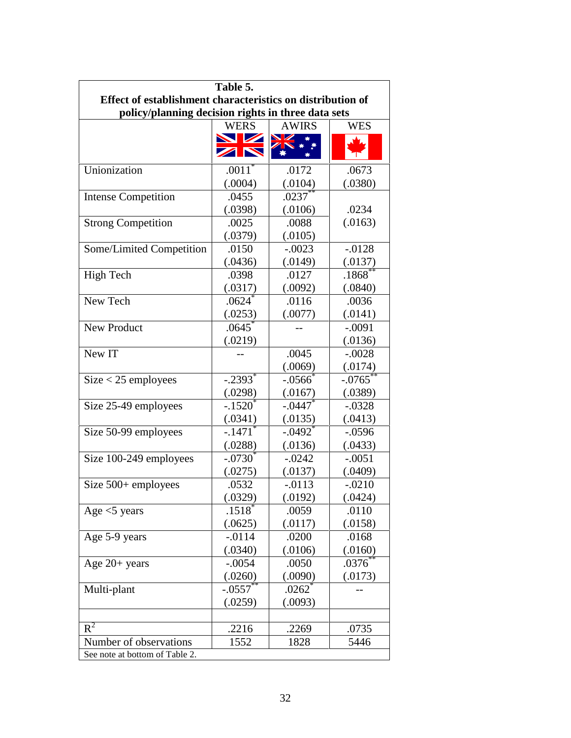| Table 5.                                                   |                       |                       |            |
|------------------------------------------------------------|-----------------------|-----------------------|------------|
| Effect of establishment characteristics on distribution of |                       |                       |            |
| policy/planning decision rights in three data sets         |                       |                       |            |
|                                                            | <b>WERS</b>           | <b>AWIRS</b>          | <b>WES</b> |
|                                                            | <b>NZ</b><br>ZN       | VZ                    |            |
| Unionization                                               | $.0011^*$             | .0172                 | .0673      |
|                                                            | (.0004)               | (.0104)               | (.0380)    |
| <b>Intense Competition</b>                                 | .0455                 | $.0237***$            |            |
|                                                            | (.0398)               | (.0106)               | .0234      |
| <b>Strong Competition</b>                                  | .0025                 | .0088                 | (.0163)    |
|                                                            | (.0379)               | (.0105)               |            |
| Some/Limited Competition                                   | .0150                 | $-.0023$              | $-.0128$   |
|                                                            | (.0436)               | (.0149)               | (.0137)    |
| <b>High Tech</b>                                           | .0398                 | .0127                 | .1868      |
|                                                            | (.0317)               | (.0092)               | (.0840)    |
| New Tech                                                   | $.0624$ <sup>*</sup>  | .0116                 | .0036      |
|                                                            | (.0253)               | (.0077)               | (.0141)    |
| New Product                                                | .0645                 |                       | $-.0091$   |
|                                                            | (.0219)               |                       | (.0136)    |
| New IT                                                     |                       | .0045                 | $-.0028$   |
|                                                            |                       | (.0069)               | (.0174)    |
| $Size < 25$ employees                                      | $-.2393$ <sup>*</sup> | $-.0566$ <sup>*</sup> | $-.0765$   |
|                                                            | (.0298)               | (.0167)               | (.0389)    |
| Size 25-49 employees                                       | $-.1520'$             | $-.0447$              | $-.0328$   |
|                                                            | (.0341)               | (.0135)               | (.0413)    |
| Size 50-99 employees                                       | $-.1471$              | $-.0492$ <sup>*</sup> | $-.0596$   |
|                                                            | (.0288)               | (.0136)               | (.0433)    |
| Size 100-249 employees                                     | $-.0730^*$            | $-.0242$              | $-.0051$   |
|                                                            | (.0275)               | (.0137)               | (.0409)    |
| Size 500+ employees                                        | .0532                 | $-.0113$              | $-.0210$   |
|                                                            | (.0329)               | (.0192)               | (.0424)    |
| Age $<$ 5 years                                            | $.1518^*$             | .0059                 | .0110      |
|                                                            | (.0625)               | (.0117)               | (.0158)    |
| Age 5-9 years                                              | $-.0114$              | .0200                 | .0168      |
|                                                            | (.0340)               | (.0106)               | (.0160)    |
| Age $20+$ years                                            | $-.0054$              | .0050                 | .0376      |
|                                                            | (.0260)               | (.0090)               | (.0173)    |
| Multi-plant                                                | $-.0557$              | $.0262$ <sup>*</sup>  |            |
|                                                            | (.0259)               | (.0093)               |            |
| $R^2$                                                      | .2216                 | .2269                 | .0735      |
| Number of observations                                     | 1552                  | 1828                  | 5446       |
| See note at bottom of Table 2.                             |                       |                       |            |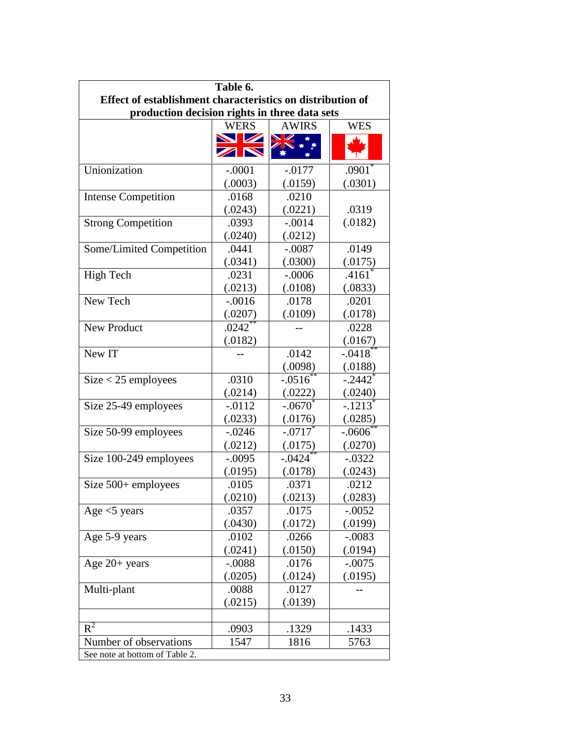| Table 6.                                                   |                       |                       |                       |  |
|------------------------------------------------------------|-----------------------|-----------------------|-----------------------|--|
| Effect of establishment characteristics on distribution of |                       |                       |                       |  |
| production decision rights in three data sets              |                       |                       |                       |  |
|                                                            | <b>WERS</b>           | <b>AWIRS</b>          | <b>WES</b>            |  |
|                                                            | NV Z<br>ZN            | VZ                    |                       |  |
| Unionization                                               | $-.0001$              | $-0.0177$             | $.0901^*$             |  |
|                                                            | (.0003)               | (.0159)               | (.0301)               |  |
| <b>Intense Competition</b>                                 | .0168                 | .0210                 |                       |  |
|                                                            | (.0243)               | (.0221)               | .0319                 |  |
| <b>Strong Competition</b>                                  | .0393                 | $-.0014$              | (.0182)               |  |
|                                                            | (.0240)               | (.0212)               |                       |  |
| Some/Limited Competition                                   | .0441                 | $-.0087$              | .0149                 |  |
|                                                            | (.0341)               | (.0300)               | (.0175)               |  |
| <b>High Tech</b>                                           | .0231                 | $-.0006$              | .4161                 |  |
|                                                            | (.0213)               | (.0108)               | (.0833)               |  |
| New Tech                                                   | $-.0016$              | .0178                 | .0201                 |  |
|                                                            | (.0207)               | (.0109)               | (.0178)               |  |
| New Product                                                | $.0242$ <sup>**</sup> |                       | .0228                 |  |
|                                                            | (.0182)               |                       | (.0167)               |  |
| New IT                                                     |                       | .0142                 | $-.0418$              |  |
|                                                            |                       | (.0098)               | (.0188)               |  |
| $Size < 25$ employees                                      | .0310                 | $-.0516$              | $-.2442$ <sup>*</sup> |  |
|                                                            | (.0214)               | (.0222)               | (.0240)               |  |
| Size 25-49 employees                                       | $-.0112$              | $-.0670$              | $-.1213$ <sup>*</sup> |  |
|                                                            | (.0233)               | (.0176)               | (.0285)               |  |
| Size 50-99 employees                                       | $-.0246$              | $-.0717$ <sup>*</sup> | $-.0606$              |  |
|                                                            | (.0212)               | (.0175)               | (.0270)               |  |
| Size 100-249 employees                                     | $-.0095$              | $-.0424$              | $-.0322$              |  |
|                                                            | (.0195)               | (.0178)               | (.0243)               |  |
| Size $500+$ employees                                      | .0105                 | .0371                 | .0212                 |  |
|                                                            | (.0210)               | (.0213)               | (.0283)               |  |
| Age $<$ 5 years                                            | .0357                 | .0175                 | $-.0052$              |  |
|                                                            | (.0430)               | (.0172)               | (.0199)               |  |
| Age 5-9 years                                              | .0102                 | .0266                 | $-.0083$              |  |
|                                                            | (.0241)               | (.0150)               | (.0194)               |  |
| Age $20+$ years                                            | $-.0088$              | .0176                 | $-.0075$              |  |
|                                                            | (.0205)               | (.0124)               | (.0195)               |  |
| Multi-plant                                                | .0088                 | .0127                 |                       |  |
|                                                            | (.0215)               | (.0139)               |                       |  |
| $R^2$                                                      | .0903                 | .1329                 | .1433                 |  |
| Number of observations                                     | 1547                  | 1816                  | 5763                  |  |
| See note at bottom of Table 2.                             |                       |                       |                       |  |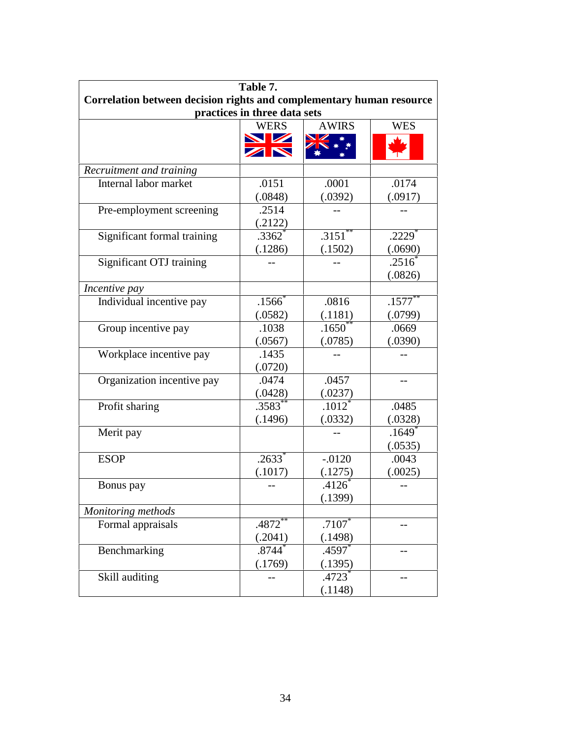| Table 7.                                                             |                      |                   |                      |  |
|----------------------------------------------------------------------|----------------------|-------------------|----------------------|--|
| Correlation between decision rights and complementary human resource |                      |                   |                      |  |
| practices in three data sets                                         |                      |                   |                      |  |
|                                                                      | <b>WERS</b>          | <b>AWIRS</b>      | <b>WES</b>           |  |
|                                                                      | <b>NZ</b>            |                   |                      |  |
|                                                                      | ZN                   |                   |                      |  |
| Recruitment and training                                             |                      |                   |                      |  |
| Internal labor market                                                | .0151                | .0001             | .0174                |  |
|                                                                      | (.0848)              | (.0392)           | (.0917)              |  |
| Pre-employment screening                                             | .2514                |                   |                      |  |
|                                                                      | (.2122)              |                   |                      |  |
| Significant formal training                                          | $.3362$ <sup>*</sup> | .3151             | $.2229$ <sup>*</sup> |  |
|                                                                      | (.1286)              | (.1502)           | (.0690)              |  |
| Significant OTJ training                                             |                      |                   | .2516                |  |
|                                                                      |                      |                   | (.0826)              |  |
| Incentive pay                                                        |                      |                   |                      |  |
| Individual incentive pay                                             | $.1566*$             | .0816             | $.1577^{**}$         |  |
|                                                                      | (.0582)              | (.1181)           | (.0799)              |  |
| Group incentive pay                                                  | .1038                | $.1650^{\degree}$ | .0669                |  |
|                                                                      | (.0567)              | (.0785)           | (.0390)              |  |
| Workplace incentive pay                                              | .1435                |                   |                      |  |
|                                                                      | (.0720)              |                   |                      |  |
| Organization incentive pay                                           | .0474                | .0457             | --                   |  |
|                                                                      | (.0428)              | (.0237)           |                      |  |
| Profit sharing                                                       | $.3583^{**}$         | $.1012^*$         | .0485                |  |
|                                                                      | (.1496)              | (.0332)           | (.0328)              |  |
| Merit pay                                                            |                      |                   | $.1649$ <sup>*</sup> |  |
|                                                                      |                      |                   | (.0535)              |  |
| <b>ESOP</b>                                                          | $.2633*$             | $-.0120$          | .0043                |  |
|                                                                      | (.1017)              | (.1275)           | (.0025)              |  |
| Bonus pay                                                            |                      | .4126             |                      |  |
|                                                                      |                      | (.1399)           |                      |  |
| Monitoring methods                                                   |                      |                   |                      |  |
| Formal appraisals                                                    | $.4872$ <sup>*</sup> | $.7107*$          |                      |  |
|                                                                      | (.2041)              | (.1498)           |                      |  |
| Benchmarking                                                         | .8744                | .4597             |                      |  |
|                                                                      | (.1769)              | (.1395)           |                      |  |
| Skill auditing                                                       |                      | .4723 $\degree$   |                      |  |
|                                                                      |                      | (.1148)           |                      |  |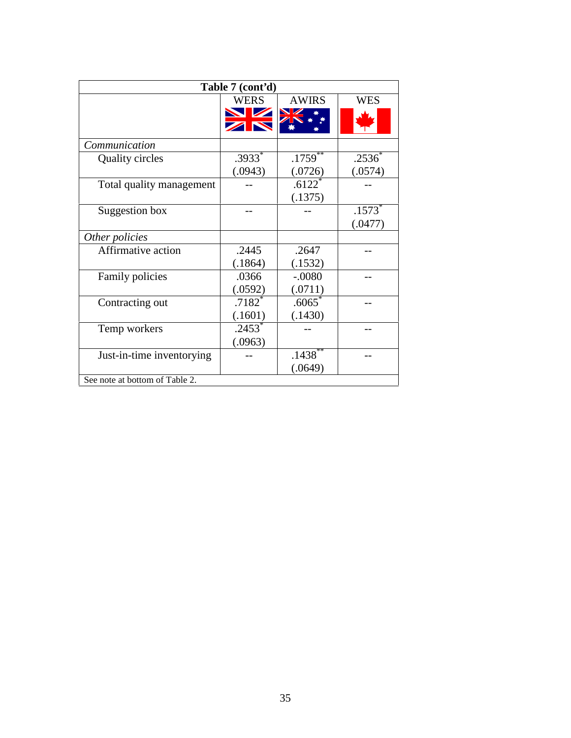| Table 7 (cont'd)               |                       |                      |            |  |
|--------------------------------|-----------------------|----------------------|------------|--|
|                                | <b>WERS</b>           | <b>AWIRS</b>         | <b>WES</b> |  |
|                                | $\blacktriangleright$ |                      |            |  |
| Communication                  |                       |                      |            |  |
| <b>Quality circles</b>         | $.3933*$              | .1759                | $.2536*$   |  |
|                                | (.0943)               | (.0726)              | (.0574)    |  |
| Total quality management       |                       | $.6122$ <sup>2</sup> |            |  |
|                                |                       | (.1375)              |            |  |
| Suggestion box                 |                       |                      | $.1573*$   |  |
|                                |                       |                      | (.0477)    |  |
| Other policies                 |                       |                      |            |  |
| Affirmative action             | .2445                 | .2647                |            |  |
|                                | (.1864)               | (.1532)              |            |  |
| Family policies                | .0366                 | $-.0080$             |            |  |
|                                | (.0592)               | (.0711)              |            |  |
| Contracting out                | $.7182$ $*$           | $.6065^{\degree}$    |            |  |
|                                | (.1601)               | (.1430)              |            |  |
| Temp workers                   | $.2453*$              |                      |            |  |
|                                | (.0963)               |                      |            |  |
| Just-in-time inventorying      |                       | $.1438***$           |            |  |
|                                |                       | (.0649)              |            |  |
| See note at bottom of Table 2. |                       |                      |            |  |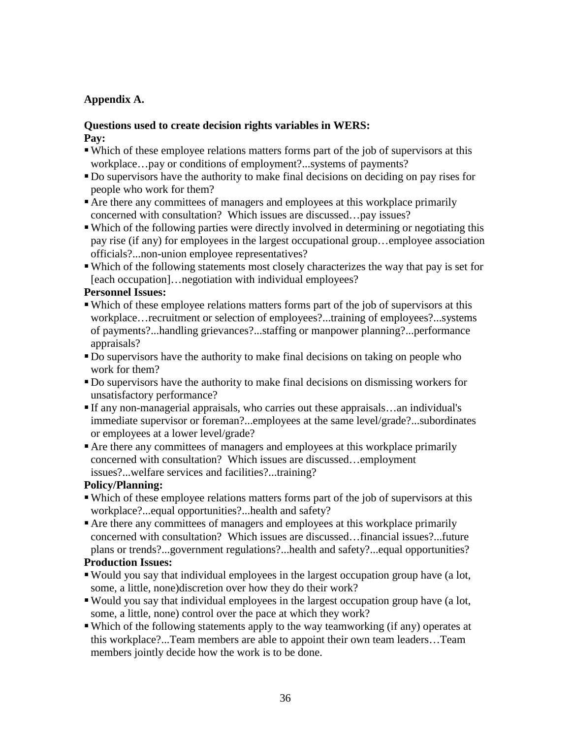## **Appendix A.**

### **Questions used to create decision rights variables in WERS: Pay:**

- Which of these employee relations matters forms part of the job of supervisors at this workplace…pay or conditions of employment?...systems of payments?
- Do supervisors have the authority to make final decisions on deciding on pay rises for people who work for them?
- Are there any committees of managers and employees at this workplace primarily concerned with consultation? Which issues are discussed…pay issues?
- Which of the following parties were directly involved in determining or negotiating this pay rise (if any) for employees in the largest occupational group…employee association officials?...non-union employee representatives?
- Which of the following statements most closely characterizes the way that pay is set for [each occupation]…negotiation with individual employees?

### **Personnel Issues:**

- Which of these employee relations matters forms part of the job of supervisors at this workplace…recruitment or selection of employees?...training of employees?...systems of payments?...handling grievances?...staffing or manpower planning?...performance appraisals?
- Do supervisors have the authority to make final decisions on taking on people who work for them?
- Do supervisors have the authority to make final decisions on dismissing workers for unsatisfactory performance?
- If any non-managerial appraisals, who carries out these appraisals…an individual's immediate supervisor or foreman?...employees at the same level/grade?...subordinates or employees at a lower level/grade?
- Are there any committees of managers and employees at this workplace primarily concerned with consultation? Which issues are discussed…employment issues?...welfare services and facilities?...training?

### **Policy/Planning:**

- Which of these employee relations matters forms part of the job of supervisors at this workplace?...equal opportunities?...health and safety?
- Are there any committees of managers and employees at this workplace primarily concerned with consultation? Which issues are discussed…financial issues?...future plans or trends?...government regulations?...health and safety?...equal opportunities?

### **Production Issues:**

- Would you say that individual employees in the largest occupation group have (a lot, some, a little, none)discretion over how they do their work?
- Would you say that individual employees in the largest occupation group have (a lot, some, a little, none) control over the pace at which they work?
- Which of the following statements apply to the way teamworking (if any) operates at this workplace?...Team members are able to appoint their own team leaders…Team members jointly decide how the work is to be done.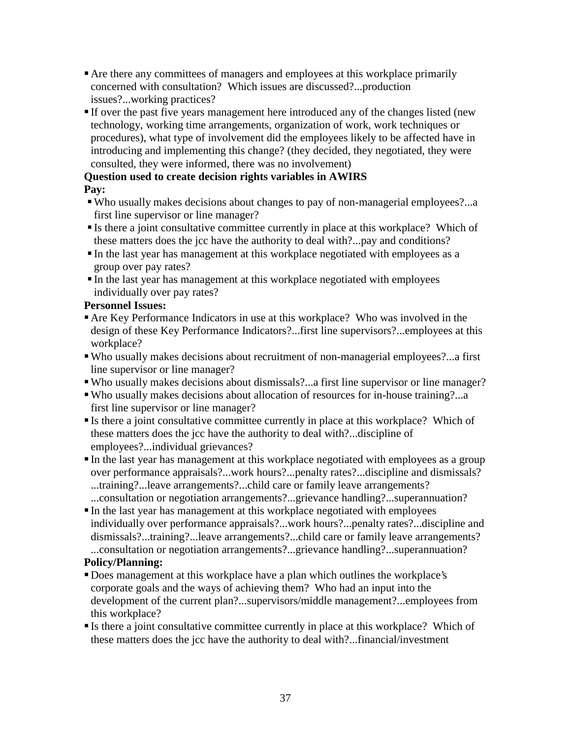- Are there any committees of managers and employees at this workplace primarily concerned with consultation? Which issues are discussed?...production issues?...working practices?
- If over the past five years management here introduced any of the changes listed (new technology, working time arrangements, organization of work, work techniques or procedures), what type of involvement did the employees likely to be affected have in introducing and implementing this change? (they decided, they negotiated, they were consulted, they were informed, there was no involvement)

# **Question used to create decision rights variables in AWIRS Pay:**

- Who usually makes decisions about changes to pay of non-managerial employees?...a first line supervisor or line manager?
- Is there a joint consultative committee currently in place at this workplace? Which of these matters does the jcc have the authority to deal with?...pay and conditions?
- In the last year has management at this workplace negotiated with employees as a group over pay rates?
- In the last year has management at this workplace negotiated with employees individually over pay rates?

# **Personnel Issues:**

- Are Key Performance Indicators in use at this workplace? Who was involved in the design of these Key Performance Indicators?...first line supervisors?...employees at this workplace?
- Who usually makes decisions about recruitment of non-managerial employees?...a first line supervisor or line manager?
- Who usually makes decisions about dismissals?...a first line supervisor or line manager?
- Who usually makes decisions about allocation of resources for in-house training?...a first line supervisor or line manager?
- Is there a joint consultative committee currently in place at this workplace? Which of these matters does the jcc have the authority to deal with?...discipline of employees?...individual grievances?
- In the last year has management at this workplace negotiated with employees as a group over performance appraisals?...work hours?...penalty rates?...discipline and dismissals? ...training?...leave arrangements?...child care or family leave arrangements? ...consultation or negotiation arrangements?...grievance handling?...superannuation?
- In the last year has management at this workplace negotiated with employees individually over performance appraisals?...work hours?...penalty rates?...discipline and dismissals?...training?...leave arrangements?...child care or family leave arrangements? ...consultation or negotiation arrangements?...grievance handling?...superannuation?

# **Policy/Planning:**

- Does management at this workplace have a plan which outlines the workplace's corporate goals and the ways of achieving them? Who had an input into the development of the current plan?...supervisors/middle management?...employees from this workplace?
- Is there a joint consultative committee currently in place at this workplace? Which of these matters does the jcc have the authority to deal with?...financial/investment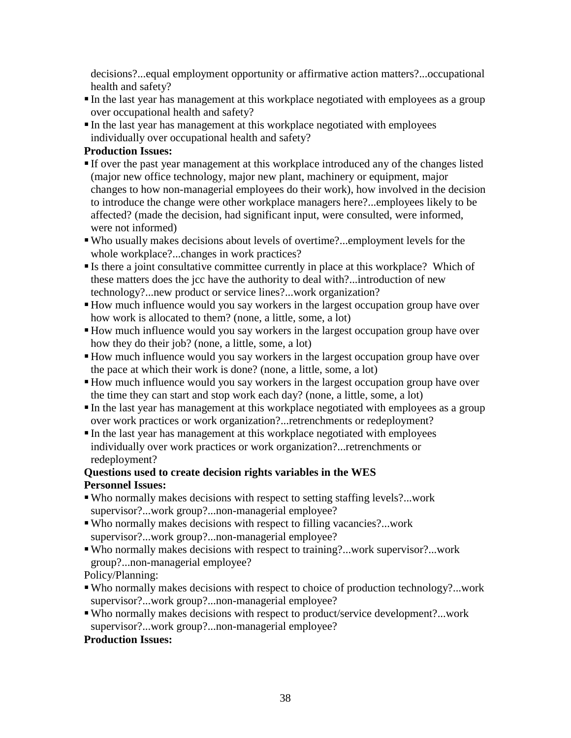decisions?...equal employment opportunity or affirmative action matters?...occupational health and safety?

- In the last year has management at this workplace negotiated with employees as a group over occupational health and safety?
- In the last year has management at this workplace negotiated with employees individually over occupational health and safety?

### **Production Issues:**

- If over the past year management at this workplace introduced any of the changes listed (major new office technology, major new plant, machinery or equipment, major changes to how non-managerial employees do their work), how involved in the decision to introduce the change were other workplace managers here?...employees likely to be affected? (made the decision, had significant input, were consulted, were informed, were not informed)
- Who usually makes decisions about levels of overtime?...employment levels for the whole workplace?...changes in work practices?
- Is there a joint consultative committee currently in place at this workplace? Which of these matters does the jcc have the authority to deal with?...introduction of new technology?...new product or service lines?...work organization?
- How much influence would you say workers in the largest occupation group have over how work is allocated to them? (none, a little, some, a lot)
- How much influence would you say workers in the largest occupation group have over how they do their job? (none, a little, some, a lot)
- How much influence would you say workers in the largest occupation group have over the pace at which their work is done? (none, a little, some, a lot)
- How much influence would you say workers in the largest occupation group have over the time they can start and stop work each day? (none, a little, some, a lot)
- In the last year has management at this workplace negotiated with employees as a group over work practices or work organization?...retrenchments or redeployment?
- In the last year has management at this workplace negotiated with employees individually over work practices or work organization?...retrenchments or redeployment?

### **Questions used to create decision rights variables in the WES Personnel Issues:**

- Who normally makes decisions with respect to setting staffing levels?...work supervisor?...work group?...non-managerial employee?
- Who normally makes decisions with respect to filling vacancies?...work supervisor?...work group?...non-managerial employee?
- Who normally makes decisions with respect to training?...work supervisor?...work group?...non-managerial employee?

Policy/Planning:

- Who normally makes decisions with respect to choice of production technology?...work supervisor?...work group?...non-managerial employee?
- Who normally makes decisions with respect to product/service development?...work supervisor?...work group?...non-managerial employee?

# **Production Issues:**